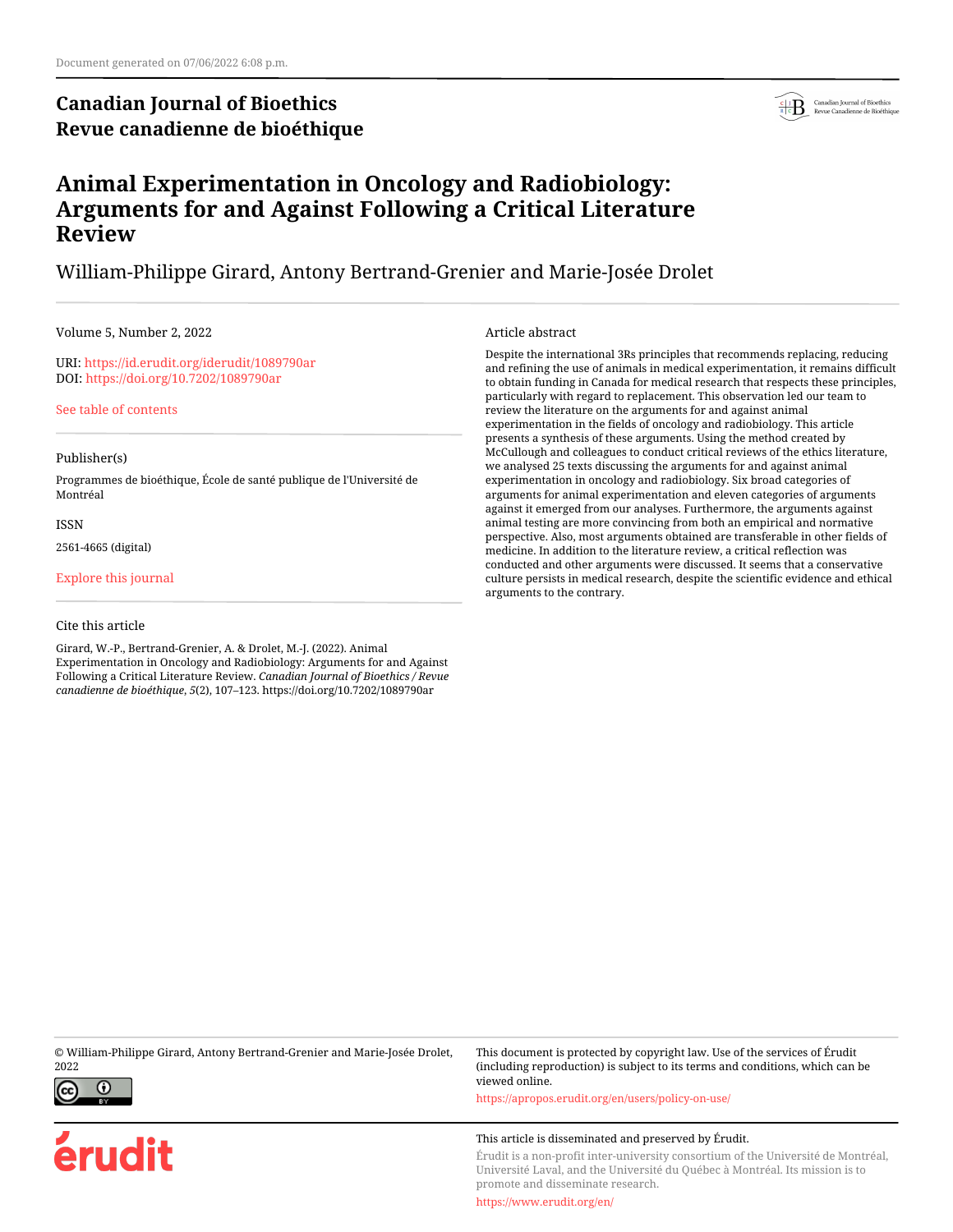## **Canadian Journal of Bioethics Revue canadienne de bioéthique**



## **Animal Experimentation in Oncology and Radiobiology: Arguments for and Against Following a Critical Literature Review**

### William-Philippe Girard, Antony Bertrand-Grenier and Marie-Josée Drolet

#### Volume 5, Number 2, 2022

URI:<https://id.erudit.org/iderudit/1089790ar> DOI:<https://doi.org/10.7202/1089790ar>

[See table of contents](https://www.erudit.org/en/journals/bioethics/2022-v5-n2-bioethics07048/)

#### Publisher(s)

Programmes de bioéthique, École de santé publique de l'Université de Montréal

ISSN

2561-4665 (digital)

[Explore this journal](https://www.erudit.org/en/journals/bioethics/)

#### Cite this article

Girard, W.-P., Bertrand-Grenier, A. & Drolet, M.-J. (2022). Animal Experimentation in Oncology and Radiobiology: Arguments for and Against Following a Critical Literature Review. *Canadian Journal of Bioethics / Revue canadienne de bioéthique*, *5*(2), 107–123. https://doi.org/10.7202/1089790ar

#### Article abstract

Despite the international 3Rs principles that recommends replacing, reducing and refining the use of animals in medical experimentation, it remains difficult to obtain funding in Canada for medical research that respects these principles, particularly with regard to replacement. This observation led our team to review the literature on the arguments for and against animal experimentation in the fields of oncology and radiobiology. This article presents a synthesis of these arguments. Using the method created by McCullough and colleagues to conduct critical reviews of the ethics literature, we analysed 25 texts discussing the arguments for and against animal experimentation in oncology and radiobiology. Six broad categories of arguments for animal experimentation and eleven categories of arguments against it emerged from our analyses. Furthermore, the arguments against animal testing are more convincing from both an empirical and normative perspective. Also, most arguments obtained are transferable in other fields of medicine. In addition to the literature review, a critical reflection was conducted and other arguments were discussed. It seems that a conservative culture persists in medical research, despite the scientific evidence and ethical arguments to the contrary.

© William-Philippe Girard, Antony Bertrand-Grenier and Marie-Josée Drolet, 2022



erudit

This document is protected by copyright law. Use of the services of Érudit (including reproduction) is subject to its terms and conditions, which can be viewed online.

<https://apropos.erudit.org/en/users/policy-on-use/>

#### This article is disseminated and preserved by Érudit.

Érudit is a non-profit inter-university consortium of the Université de Montréal, Université Laval, and the Université du Québec à Montréal. Its mission is to promote and disseminate research.

<https://www.erudit.org/en/>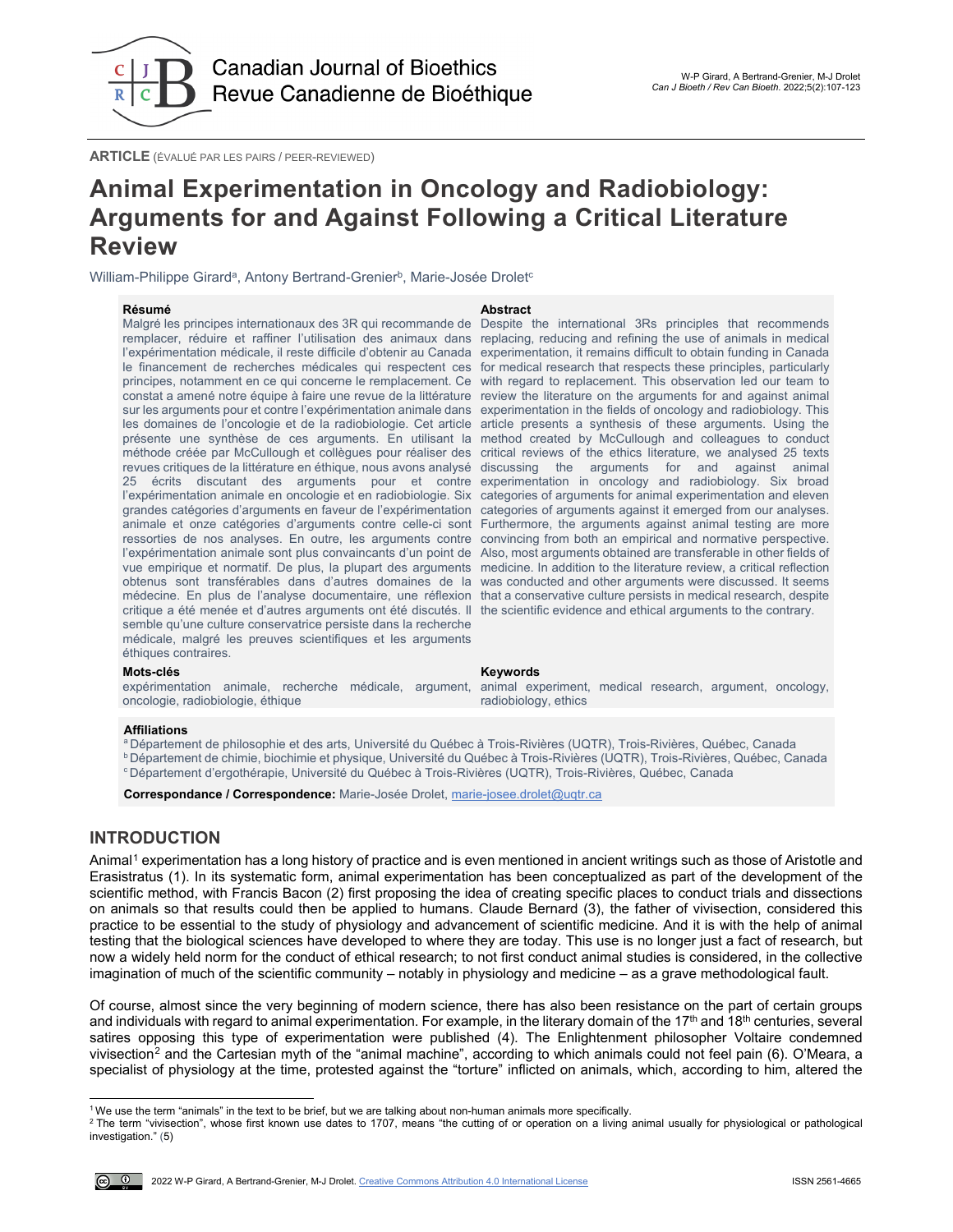

**ARTICLE** (ÉVALUÉ PAR LES PAIRS / PEER-REVIEWED)

## **Animal Experimentation in Oncology and Radiobiology: Arguments for and Against Following a Critical Literature Review**

William-Philippe Girard<sup>a</sup>, Antony Bertrand-Grenier<sup>b</sup>, Marie-Josée Drolet<sup>c</sup>

#### **Résumé Abstract**

Malgré les principes internationaux des 3R qui recommande de Despite the international 3Rs principles that recommends remplacer, réduire et raffiner l'utilisation des animaux dans replacing, reducing and refining the use of animals in medical semble qu'une culture conservatrice persiste dans la recherche médicale, malgré les preuves scientifiques et les arguments éthiques contraires.

l'expérimentation médicale, il reste difficile d'obtenir au Canada experimentation, it remains difficult to obtain funding in Canada le financement de recherches médicales qui respectent ces for medical research that respects these principles, particularly principes, notamment en ce qui concerne le remplacement. Ce with regard to replacement. This observation led our team to constat a amené notre équipe à faire une revue de la littérature review the literature on the arguments for and against animal sur les arguments pour et contre l'expérimentation animale dans experimentation in the fields of oncology and radiobiology. This les domaines de l'oncologie et de la radiobiologie. Cet article article presents a synthesis of these arguments. Using the présente une synthèse de ces arguments. En utilisant la method created by McCullough and colleagues to conduct méthode créée par McCullough et collègues pour réaliser des critical reviews of the ethics literature, we analysed 25 texts revues critiques de la littérature en éthique, nous avons analysé discussing the arguments for and against animal 25 écrits discutant des arguments pour et contre experimentation in oncology and radiobiology. Six broad l'expérimentation animale en oncologie et en radiobiologie. Six categories of arguments for animal experimentation and eleven grandes catégories d'arguments en faveur de l'expérimentation categories of arguments against it emerged from our analyses. animale et onze catégories d'arguments contre celle-ci sont Furthermore, the arguments against animal testing are more ressorties de nos analyses. En outre, les arguments contre convincing from both an empirical and normative perspective. l'expérimentation animale sont plus convaincants d'un point de Also, most arguments obtained are transferable in other fields of vue empirique et normatif. De plus, la plupart des arguments medicine. In addition to the literature review, a critical reflection obtenus sont transférables dans d'autres domaines de la was conducted and other arguments were discussed. It seems médecine. En plus de l'analyse documentaire, une réflexion that a conservative culture persists in medical research, despite critique a été menée et d'autres arguments ont été discutés. Il the scientific evidence and ethical arguments to the contrary.

#### **Mots-clés Keywords**

expérimentation animale, recherche médicale, argument, oncologie, radiobiologie, éthique

animal experiment, medical research, argument, oncology, radiobiology, ethics

#### **Affiliations**

<sup>a</sup> Département de philosophie et des arts, Université du Québec à Trois-Rivières (UQTR), Trois-Rivières, Québec, Canada b Département de chimie, biochimie et physique, Université du Québec à Trois-Rivières (UQTR), Trois-Rivières, Québec, Canada

c Département d'ergothérapie, Université du Québec à Trois-Rivières (UQTR), Trois-Rivières, Québec, Canada

**Correspondance / Correspondence:** Marie-Josée Drolet, [marie-josee.drolet@uqtr.ca](mailto:marie-josee.drolet@uqtr.ca)

#### **INTRODUCTION**

Animal<sup>[1](#page-1-0)</sup> experimentation has a long history of practice and is even mentioned in ancient writings such as those of Aristotle and Erasistratus (1). In its systematic form, animal experimentation has been conceptualized as part of the development of the scientific method, with Francis Bacon (2) first proposing the idea of creating specific places to conduct trials and dissections on animals so that results could then be applied to humans. Claude Bernard (3), the father of vivisection, considered this practice to be essential to the study of physiology and advancement of scientific medicine. And it is with the help of animal testing that the biological sciences have developed to where they are today. This use is no longer just a fact of research, but now a widely held norm for the conduct of ethical research; to not first conduct animal studies is considered, in the collective imagination of much of the scientific community – notably in physiology and medicine – as a grave methodological fault.

Of course, almost since the very beginning of modern science, there has also been resistance on the part of certain groups and individuals with regard to animal experimentation. For example, in the literary domain of the 17<sup>th</sup> and 18<sup>th</sup> centuries, several satires opposing this type of experimentation were published (4). The Enlightenment philosopher Voltaire condemned vivisection<sup>[2](#page-1-1)</sup> and the Cartesian myth of the "animal machine", according to which animals could not feel pain (6). O'Meara, a specialist of physiology at the time, protested against the "torture" inflicted on animals, which, according to him, altered the

j 1 We use the term "animals" in the text to be brief, but we are talking about non-human animals more specifically.

<span id="page-1-1"></span><span id="page-1-0"></span><sup>2</sup> The term "vivisection", whose first known use dates to 1707, means "the cutting of or operation on a living animal usually for physiological or pathological investigation." (5)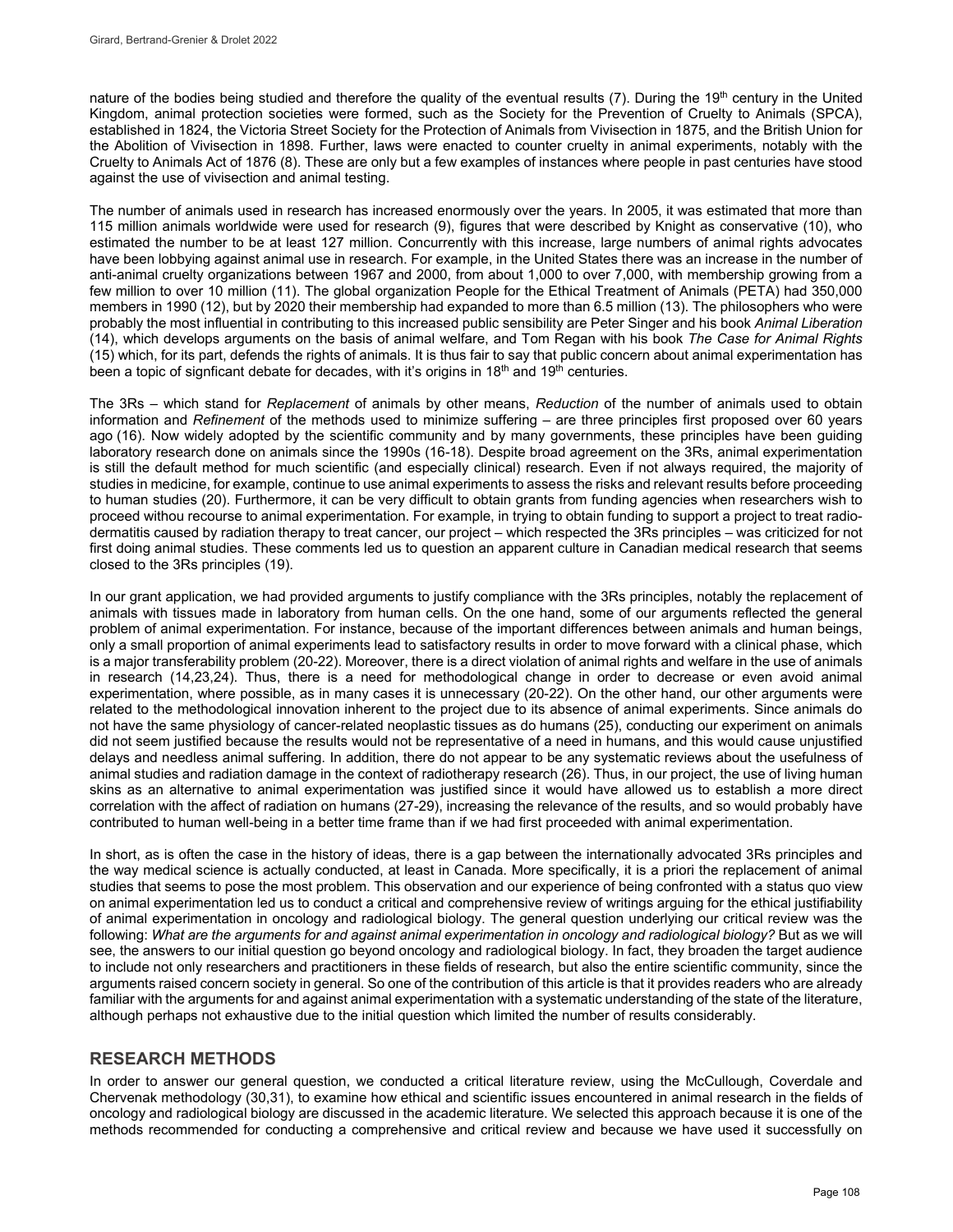nature of the bodies being studied and therefore the quality of the eventual results  $(7)$ . During the 19<sup>th</sup> century in the United Kingdom, animal protection societies were formed, such as the Society for the Prevention of Cruelty to Animals (SPCA), established in 1824, the Victoria Street Society for the Protection of Animals from Vivisection in 1875, and the British Union for the Abolition of Vivisection in 1898. Further, laws were enacted to counter cruelty in animal experiments, notably with the Cruelty to Animals Act of 1876 (8). These are only but a few examples of instances where people in past centuries have stood against the use of vivisection and animal testing.

The number of animals used in research has increased enormously over the years. In 2005, it was estimated that more than 115 million animals worldwide were used for research (9), figures that were described by Knight as conservative (10), who estimated the number to be at least 127 million. Concurrently with this increase, large numbers of animal rights advocates have been lobbying against animal use in research. For example, in the United States there was an increase in the number of anti-animal cruelty organizations between 1967 and 2000, from about 1,000 to over 7,000, with membership growing from a few million to over 10 million (11). The global organization People for the Ethical Treatment of Animals (PETA) had 350,000 members in 1990 (12), but by 2020 their membership had expanded to more than 6.5 million (13). The philosophers who were probably the most influential in contributing to this increased public sensibility are Peter Singer and his book *Animal Liberation* (14), which develops arguments on the basis of animal welfare, and Tom Regan with his book *The Case for Animal Rights* (15) which, for its part, defends the rights of animals. It is thus fair to say that public concern about animal experimentation has been a topic of signficant debate for decades, with it's origins in  $18<sup>th</sup>$  and  $19<sup>th</sup>$  centuries.

The 3Rs – which stand for *Replacement* of animals by other means, *Reduction* of the number of animals used to obtain information and *Refinement* of the methods used to minimize suffering – are three principles first proposed over 60 years ago (16). Now widely adopted by the scientific community and by many governments, these principles have been guiding laboratory research done on animals since the 1990s (16-18). Despite broad agreement on the 3Rs, animal experimentation is still the default method for much scientific (and especially clinical) research. Even if not always required, the majority of studies in medicine, for example, continue to use animal experiments to assess the risks and relevant results before proceeding to human studies (20). Furthermore, it can be very difficult to obtain grants from funding agencies when researchers wish to proceed withou recourse to animal experimentation. For example, in trying to obtain funding to support a project to treat radiodermatitis caused by radiation therapy to treat cancer, our project – which respected the 3Rs principles – was criticized for not first doing animal studies. These comments led us to question an apparent culture in Canadian medical research that seems closed to the 3Rs principles (19).

In our grant application, we had provided arguments to justify compliance with the 3Rs principles, notably the replacement of animals with tissues made in laboratory from human cells. On the one hand, some of our arguments reflected the general problem of animal experimentation. For instance, because of the important differences between animals and human beings, only a small proportion of animal experiments lead to satisfactory results in order to move forward with a clinical phase, which is a major transferability problem (20-22). Moreover, there is a direct violation of animal rights and welfare in the use of animals in research (14,23,24). Thus, there is a need for methodological change in order to decrease or even avoid animal experimentation, where possible, as in many cases it is unnecessary (20-22). On the other hand, our other arguments were related to the methodological innovation inherent to the project due to its absence of animal experiments. Since animals do not have the same physiology of cancer-related neoplastic tissues as do humans (25), conducting our experiment on animals did not seem justified because the results would not be representative of a need in humans, and this would cause unjustified delays and needless animal suffering. In addition, there do not appear to be any systematic reviews about the usefulness of animal studies and radiation damage in the context of radiotherapy research (26). Thus, in our project, the use of living human skins as an alternative to animal experimentation was justified since it would have allowed us to establish a more direct correlation with the affect of radiation on humans (27-29), increasing the relevance of the results, and so would probably have contributed to human well-being in a better time frame than if we had first proceeded with animal experimentation.

In short, as is often the case in the history of ideas, there is a gap between the internationally advocated 3Rs principles and the way medical science is actually conducted, at least in Canada. More specifically, it is a priori the replacement of animal studies that seems to pose the most problem. This observation and our experience of being confronted with a status quo view on animal experimentation led us to conduct a critical and comprehensive review of writings arguing for the ethical justifiability of animal experimentation in oncology and radiological biology. The general question underlying our critical review was the following: *What are the arguments for and against animal experimentation in oncology and radiological biology?* But as we will see, the answers to our initial question go beyond oncology and radiological biology. In fact, they broaden the target audience to include not only researchers and practitioners in these fields of research, but also the entire scientific community, since the arguments raised concern society in general. So one of the contribution of this article is that it provides readers who are already familiar with the arguments for and against animal experimentation with a systematic understanding of the state of the literature, although perhaps not exhaustive due to the initial question which limited the number of results considerably.

#### **RESEARCH METHODS**

In order to answer our general question, we conducted a critical literature review, using the McCullough, Coverdale and Chervenak methodology (30,31), to examine how ethical and scientific issues encountered in animal research in the fields of oncology and radiological biology are discussed in the academic literature. We selected this approach because it is one of the methods recommended for conducting a comprehensive and critical review and because we have used it successfully on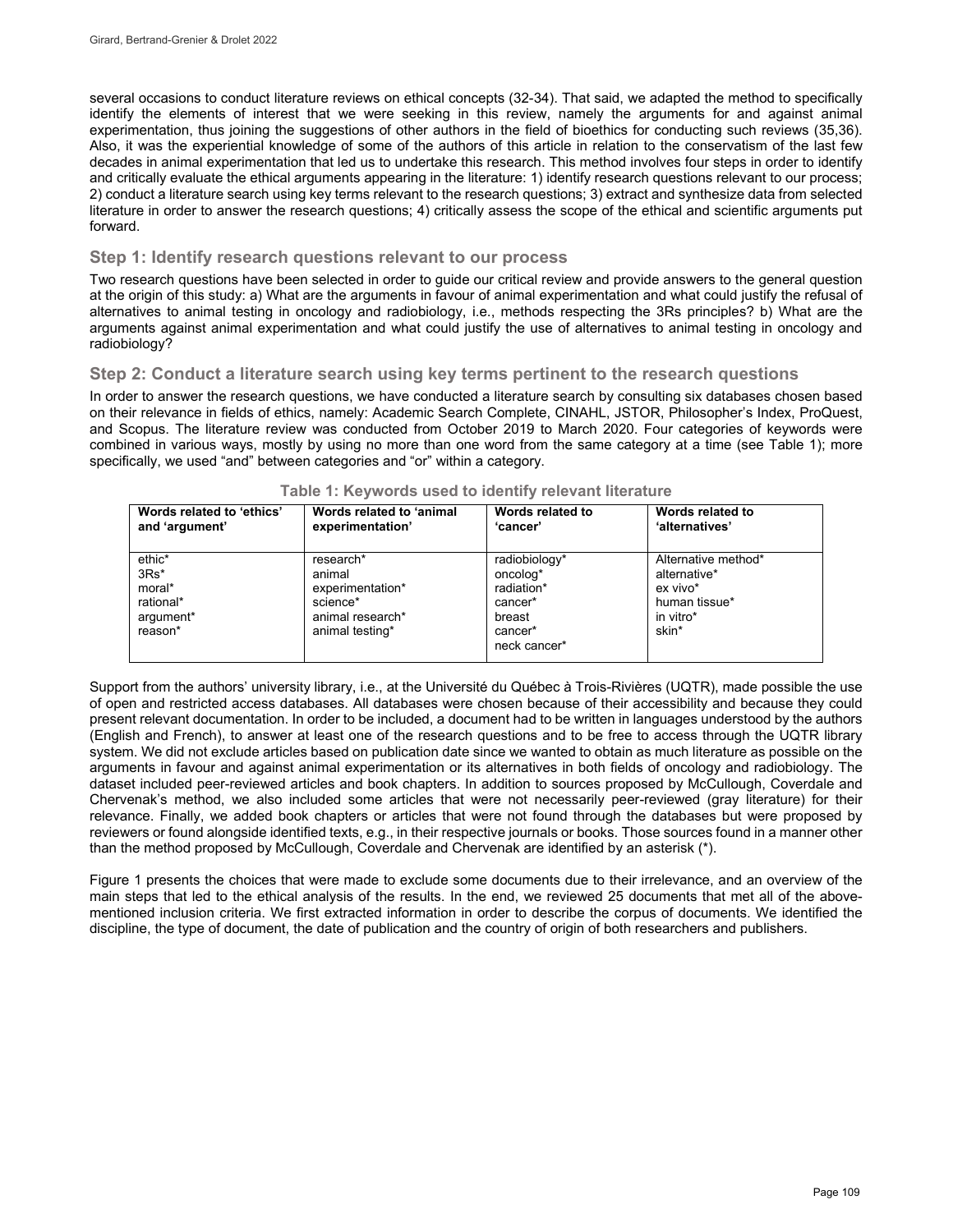several occasions to conduct literature reviews on ethical concepts (32-34). That said, we adapted the method to specifically identify the elements of interest that we were seeking in this review, namely the arguments for and against animal experimentation, thus joining the suggestions of other authors in the field of bioethics for conducting such reviews (35,36). Also, it was the experiential knowledge of some of the authors of this article in relation to the conservatism of the last few decades in animal experimentation that led us to undertake this research. This method involves four steps in order to identify and critically evaluate the ethical arguments appearing in the literature: 1) identify research questions relevant to our process; 2) conduct a literature search using key terms relevant to the research questions; 3) extract and synthesize data from selected literature in order to answer the research questions; 4) critically assess the scope of the ethical and scientific arguments put forward.

#### **Step 1: Identify research questions relevant to our process**

Two research questions have been selected in order to guide our critical review and provide answers to the general question at the origin of this study: a) What are the arguments in favour of animal experimentation and what could justify the refusal of alternatives to animal testing in oncology and radiobiology, i.e., methods respecting the 3Rs principles? b) What are the arguments against animal experimentation and what could justify the use of alternatives to animal testing in oncology and radiobiology?

#### **Step 2: Conduct a literature search using key terms pertinent to the research questions**

In order to answer the research questions, we have conducted a literature search by consulting six databases chosen based on their relevance in fields of ethics, namely: Academic Search Complete, CINAHL, JSTOR, Philosopher's Index, ProQuest, and Scopus. The literature review was conducted from October 2019 to March 2020. Four categories of keywords were combined in various ways, mostly by using no more than one word from the same category at a time (see Table 1); more specifically, we used "and" between categories and "or" within a category.

| Words related to 'ethics'                                       | Words related to 'animal                                                                   | Words related to                                                                        | Words related to                                                                       |
|-----------------------------------------------------------------|--------------------------------------------------------------------------------------------|-----------------------------------------------------------------------------------------|----------------------------------------------------------------------------------------|
| and 'argument'                                                  | experimentation'                                                                           | 'cancer'                                                                                | 'alternatives'                                                                         |
| ethic*<br>$3Rs*$<br>moral*<br>rational*<br>argument*<br>reason* | research*<br>animal<br>experimentation*<br>science*<br>animal research*<br>animal testing* | radiobiology*<br>oncolog*<br>radiation*<br>cancer*<br>breast<br>cancer*<br>neck cancer* | Alternative method*<br>alternative*<br>ex vivo*<br>human tissue*<br>in vitro*<br>skin* |

#### **Table 1: Keywords used to identify relevant literature**

Support from the authors' university library, i.e., at the Université du Québec à Trois-Rivières (UQTR), made possible the use of open and restricted access databases. All databases were chosen because of their accessibility and because they could present relevant documentation. In order to be included, a document had to be written in languages understood by the authors (English and French), to answer at least one of the research questions and to be free to access through the UQTR library system. We did not exclude articles based on publication date since we wanted to obtain as much literature as possible on the arguments in favour and against animal experimentation or its alternatives in both fields of oncology and radiobiology. The dataset included peer-reviewed articles and book chapters. In addition to sources proposed by McCullough, Coverdale and Chervenak's method, we also included some articles that were not necessarily peer-reviewed (gray literature) for their relevance. Finally, we added book chapters or articles that were not found through the databases but were proposed by reviewers or found alongside identified texts, e.g., in their respective journals or books. Those sources found in a manner other than the method proposed by McCullough, Coverdale and Chervenak are identified by an asterisk (\*).

Figure 1 presents the choices that were made to exclude some documents due to their irrelevance, and an overview of the main steps that led to the ethical analysis of the results. In the end, we reviewed 25 documents that met all of the abovementioned inclusion criteria. We first extracted information in order to describe the corpus of documents. We identified the discipline, the type of document, the date of publication and the country of origin of both researchers and publishers.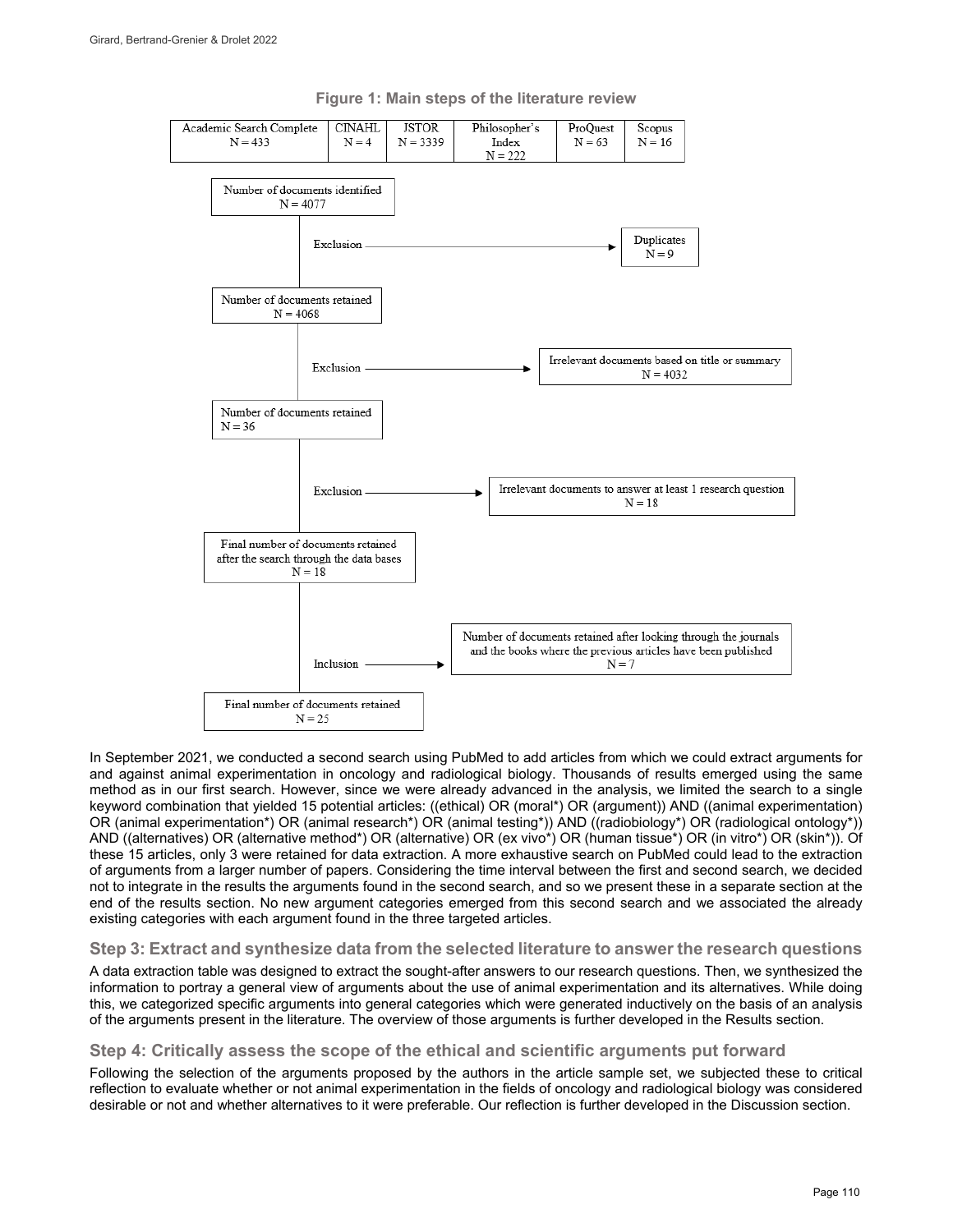

#### **Figure 1: Main steps of the literature review**

In September 2021, we conducted a second search using PubMed to add articles from which we could extract arguments for and against animal experimentation in oncology and radiological biology. Thousands of results emerged using the same method as in our first search. However, since we were already advanced in the analysis, we limited the search to a single keyword combination that yielded 15 potential articles: ((ethical) OR (moral\*) OR (argument)) AND ((animal experimentation) OR (animal experimentation\*) OR (animal research\*) OR (animal testing\*)) AND ((radiobiology\*) OR (radiological ontology\*)) AND ((alternatives) OR (alternative method\*) OR (alternative) OR (ex vivo\*) OR (human tissue\*) OR (in vitro\*) OR (skin\*)). Of these 15 articles, only 3 were retained for data extraction. A more exhaustive search on PubMed could lead to the extraction of arguments from a larger number of papers. Considering the time interval between the first and second search, we decided not to integrate in the results the arguments found in the second search, and so we present these in a separate section at the end of the results section. No new argument categories emerged from this second search and we associated the already existing categories with each argument found in the three targeted articles.

#### **Step 3: Extract and synthesize data from the selected literature to answer the research questions**

A data extraction table was designed to extract the sought-after answers to our research questions. Then, we synthesized the information to portray a general view of arguments about the use of animal experimentation and its alternatives. While doing this, we categorized specific arguments into general categories which were generated inductively on the basis of an analysis of the arguments present in the literature. The overview of those arguments is further developed in the Results section.

#### **Step 4: Critically assess the scope of the ethical and scientific arguments put forward**

Following the selection of the arguments proposed by the authors in the article sample set, we subjected these to critical reflection to evaluate whether or not animal experimentation in the fields of oncology and radiological biology was considered desirable or not and whether alternatives to it were preferable. Our reflection is further developed in the Discussion section.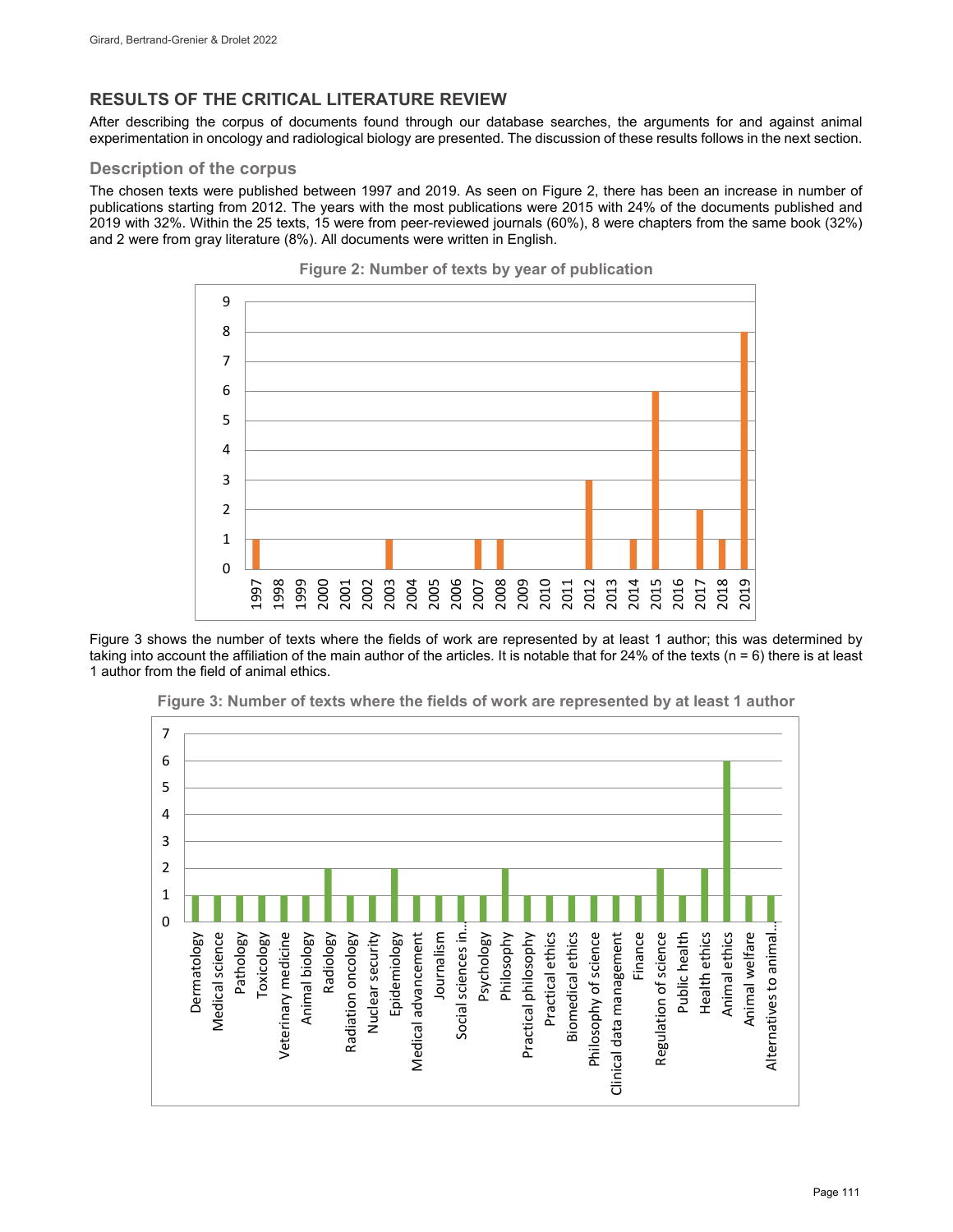### **RESULTS OF THE CRITICAL LITERATURE REVIEW**

After describing the corpus of documents found through our database searches, the arguments for and against animal experimentation in oncology and radiological biology are presented. The discussion of these results follows in the next section.

#### **Description of the corpus**

The chosen texts were published between 1997 and 2019. As seen on Figure 2, there has been an increase in number of publications starting from 2012. The years with the most publications were 2015 with 24% of the documents published and 2019 with 32%. Within the 25 texts, 15 were from peer-reviewed journals (60%), 8 were chapters from the same book (32%) and 2 were from gray literature (8%). All documents were written in English.





Figure 3 shows the number of texts where the fields of work are represented by at least 1 author; this was determined by taking into account the affiliation of the main author of the articles. It is notable that for 24% of the texts (n = 6) there is at least 1 author from the field of animal ethics.



**Figure 3: Number of texts where the fields of work are represented by at least 1 author**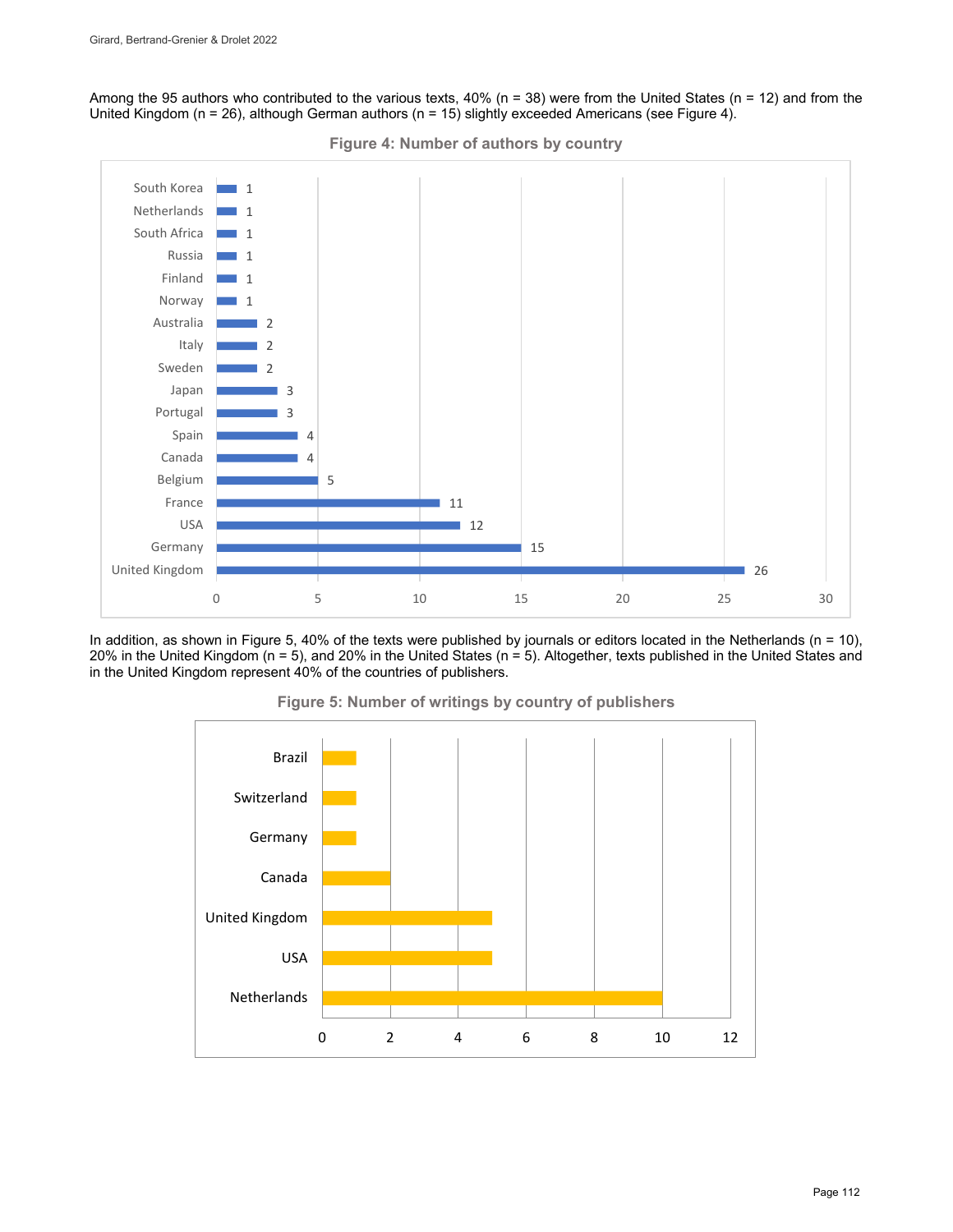Among the 95 authors who contributed to the various texts, 40% ( $n = 38$ ) were from the United States ( $n = 12$ ) and from the United Kingdom (n = 26), although German authors (n = 15) slightly exceeded Americans (see Figure 4).



In addition, as shown in Figure 5, 40% of the texts were published by journals or editors located in the Netherlands ( $n = 10$ ), 20% in the United Kingdom (n = 5), and 20% in the United States (n = 5). Altogether, texts published in the United States and in the United Kingdom represent 40% of the countries of publishers.



**Figure 5: Number of writings by country of publishers**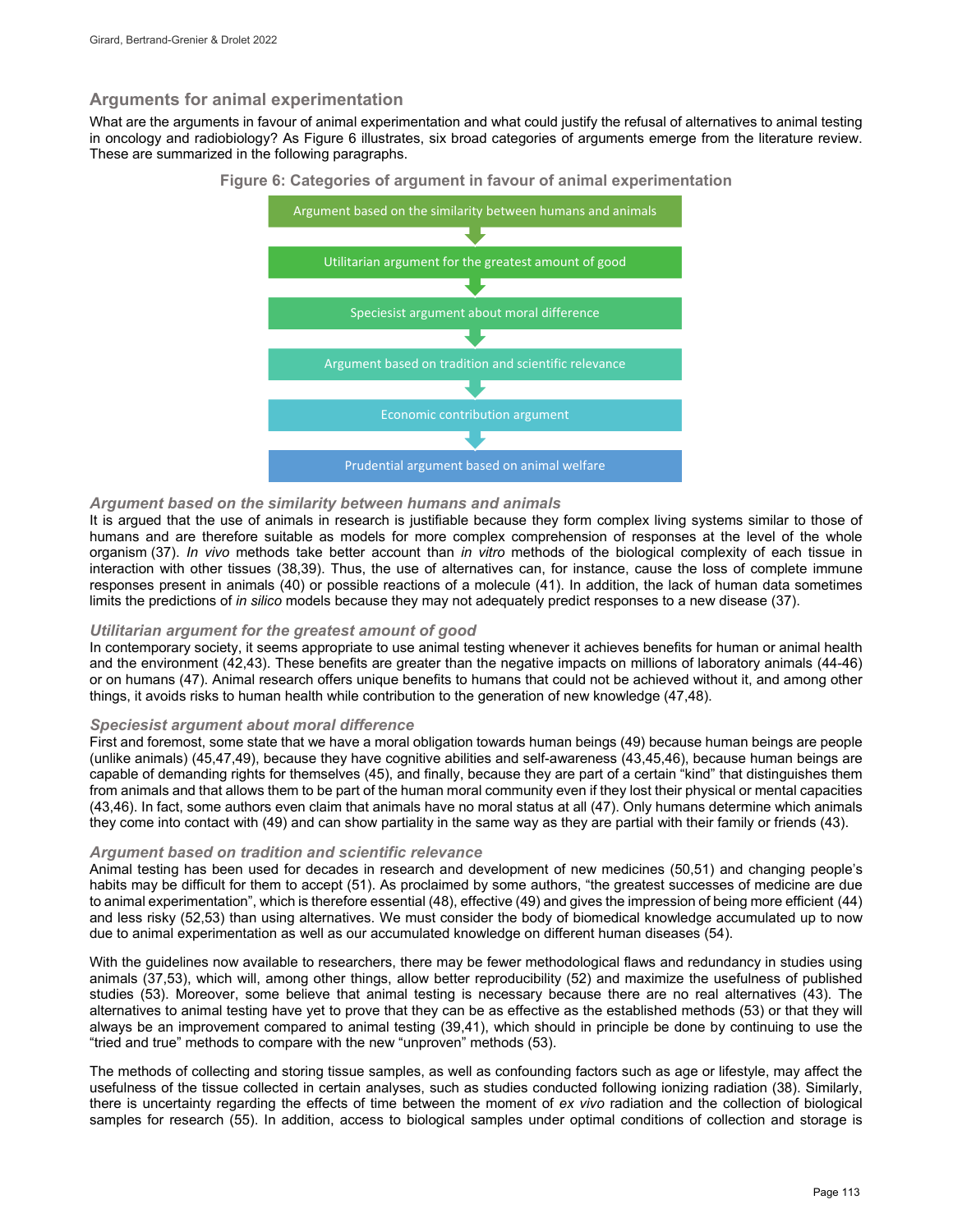#### **Arguments for animal experimentation**

What are the arguments in favour of animal experimentation and what could justify the refusal of alternatives to animal testing in oncology and radiobiology? As Figure 6 illustrates, six broad categories of arguments emerge from the literature review. These are summarized in the following paragraphs.



#### **Figure 6: Categories of argument in favour of animal experimentation**

#### *Argument based on the similarity between humans and animals*

It is argued that the use of animals in research is justifiable because they form complex living systems similar to those of humans and are therefore suitable as models for more complex comprehension of responses at the level of the whole organism (37). *In vivo* methods take better account than *in vitro* methods of the biological complexity of each tissue in interaction with other tissues (38,39). Thus, the use of alternatives can, for instance, cause the loss of complete immune responses present in animals (40) or possible reactions of a molecule (41). In addition, the lack of human data sometimes limits the predictions of *in silico* models because they may not adequately predict responses to a new disease (37).

#### *Utilitarian argument for the greatest amount of good*

In contemporary society, it seems appropriate to use animal testing whenever it achieves benefits for human or animal health and the environment (42,43). These benefits are greater than the negative impacts on millions of laboratory animals (44-46) or on humans (47). Animal research offers unique benefits to humans that could not be achieved without it, and among other things, it avoids risks to human health while contribution to the generation of new knowledge (47,48).

#### *Speciesist argument about moral difference*

First and foremost, some state that we have a moral obligation towards human beings (49) because human beings are people (unlike animals) (45,47,49), because they have cognitive abilities and self-awareness (43,45,46), because human beings are capable of demanding rights for themselves (45), and finally, because they are part of a certain "kind" that distinguishes them from animals and that allows them to be part of the human moral community even if they lost their physical or mental capacities (43,46). In fact, some authors even claim that animals have no moral status at all (47). Only humans determine which animals they come into contact with (49) and can show partiality in the same way as they are partial with their family or friends (43).

#### *Argument based on tradition and scientific relevance*

Animal testing has been used for decades in research and development of new medicines (50,51) and changing people's habits may be difficult for them to accept (51). As proclaimed by some authors, "the greatest successes of medicine are due to animal experimentation", which is therefore essential (48), effective (49) and gives the impression of being more efficient (44) and less risky (52,53) than using alternatives. We must consider the body of biomedical knowledge accumulated up to now due to animal experimentation as well as our accumulated knowledge on different human diseases (54).

With the guidelines now available to researchers, there may be fewer methodological flaws and redundancy in studies using animals (37,53), which will, among other things, allow better reproducibility (52) and maximize the usefulness of published studies (53). Moreover, some believe that animal testing is necessary because there are no real alternatives (43). The alternatives to animal testing have yet to prove that they can be as effective as the established methods (53) or that they will always be an improvement compared to animal testing (39,41), which should in principle be done by continuing to use the "tried and true" methods to compare with the new "unproven" methods (53).

The methods of collecting and storing tissue samples, as well as confounding factors such as age or lifestyle, may affect the usefulness of the tissue collected in certain analyses, such as studies conducted following ionizing radiation (38). Similarly, there is uncertainty regarding the effects of time between the moment of *ex vivo* radiation and the collection of biological samples for research (55). In addition, access to biological samples under optimal conditions of collection and storage is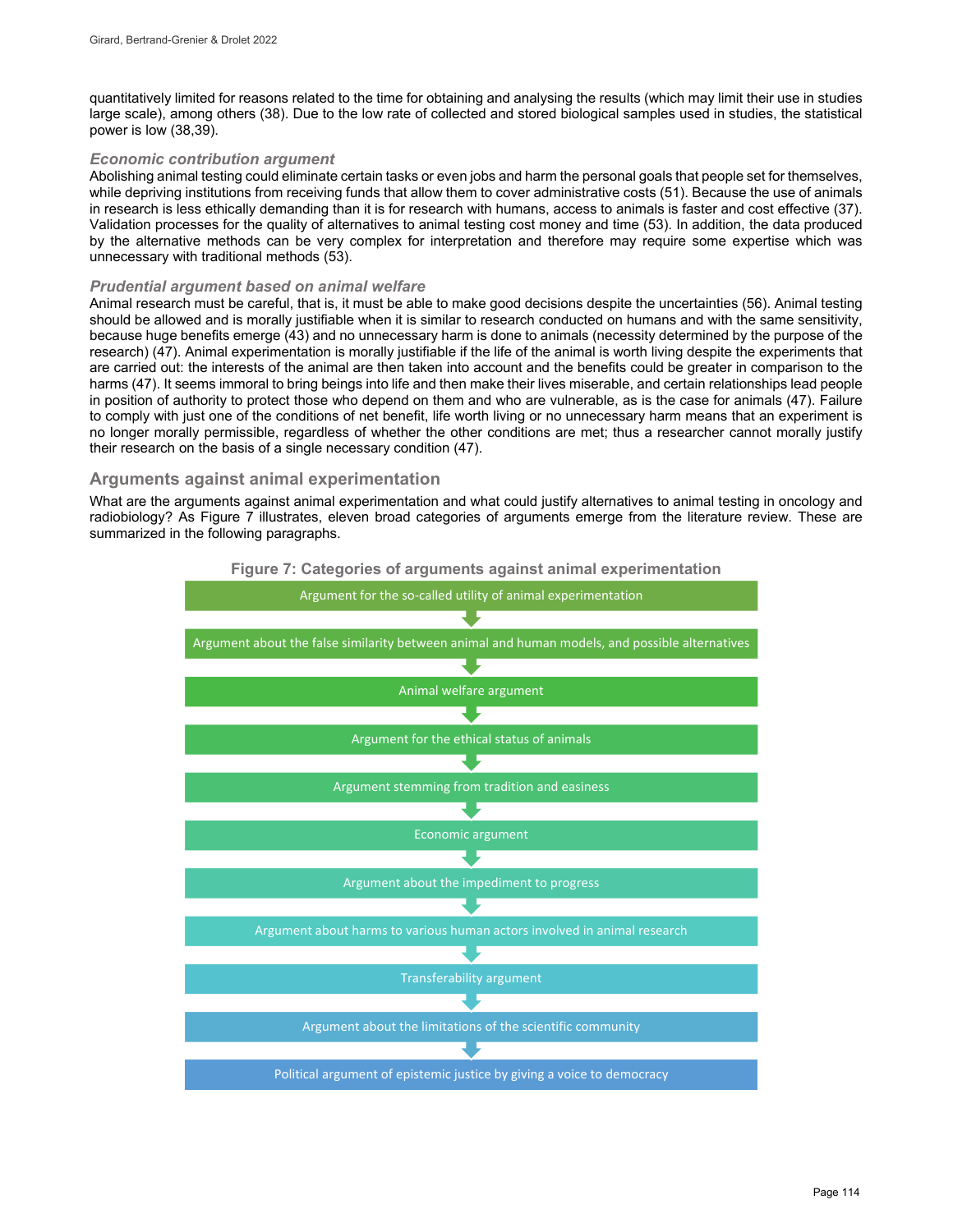quantitatively limited for reasons related to the time for obtaining and analysing the results (which may limit their use in studies large scale), among others (38). Due to the low rate of collected and stored biological samples used in studies, the statistical power is low (38,39).

#### *Economic contribution argument*

Abolishing animal testing could eliminate certain tasks or even jobs and harm the personal goals that people set for themselves, while depriving institutions from receiving funds that allow them to cover administrative costs (51). Because the use of animals in research is less ethically demanding than it is for research with humans, access to animals is faster and cost effective (37). Validation processes for the quality of alternatives to animal testing cost money and time (53). In addition, the data produced by the alternative methods can be very complex for interpretation and therefore may require some expertise which was unnecessary with traditional methods (53).

#### *Prudential argument based on animal welfare*

Animal research must be careful, that is, it must be able to make good decisions despite the uncertainties (56). Animal testing should be allowed and is morally justifiable when it is similar to research conducted on humans and with the same sensitivity, because huge benefits emerge (43) and no unnecessary harm is done to animals (necessity determined by the purpose of the research) (47). Animal experimentation is morally justifiable if the life of the animal is worth living despite the experiments that are carried out: the interests of the animal are then taken into account and the benefits could be greater in comparison to the harms (47). It seems immoral to bring beings into life and then make their lives miserable, and certain relationships lead people in position of authority to protect those who depend on them and who are vulnerable, as is the case for animals (47). Failure to comply with just one of the conditions of net benefit, life worth living or no unnecessary harm means that an experiment is no longer morally permissible, regardless of whether the other conditions are met; thus a researcher cannot morally justify their research on the basis of a single necessary condition (47).

#### **Arguments against animal experimentation**

What are the arguments against animal experimentation and what could justify alternatives to animal testing in oncology and radiobiology? As Figure 7 illustrates, eleven broad categories of arguments emerge from the literature review. These are summarized in the following paragraphs.

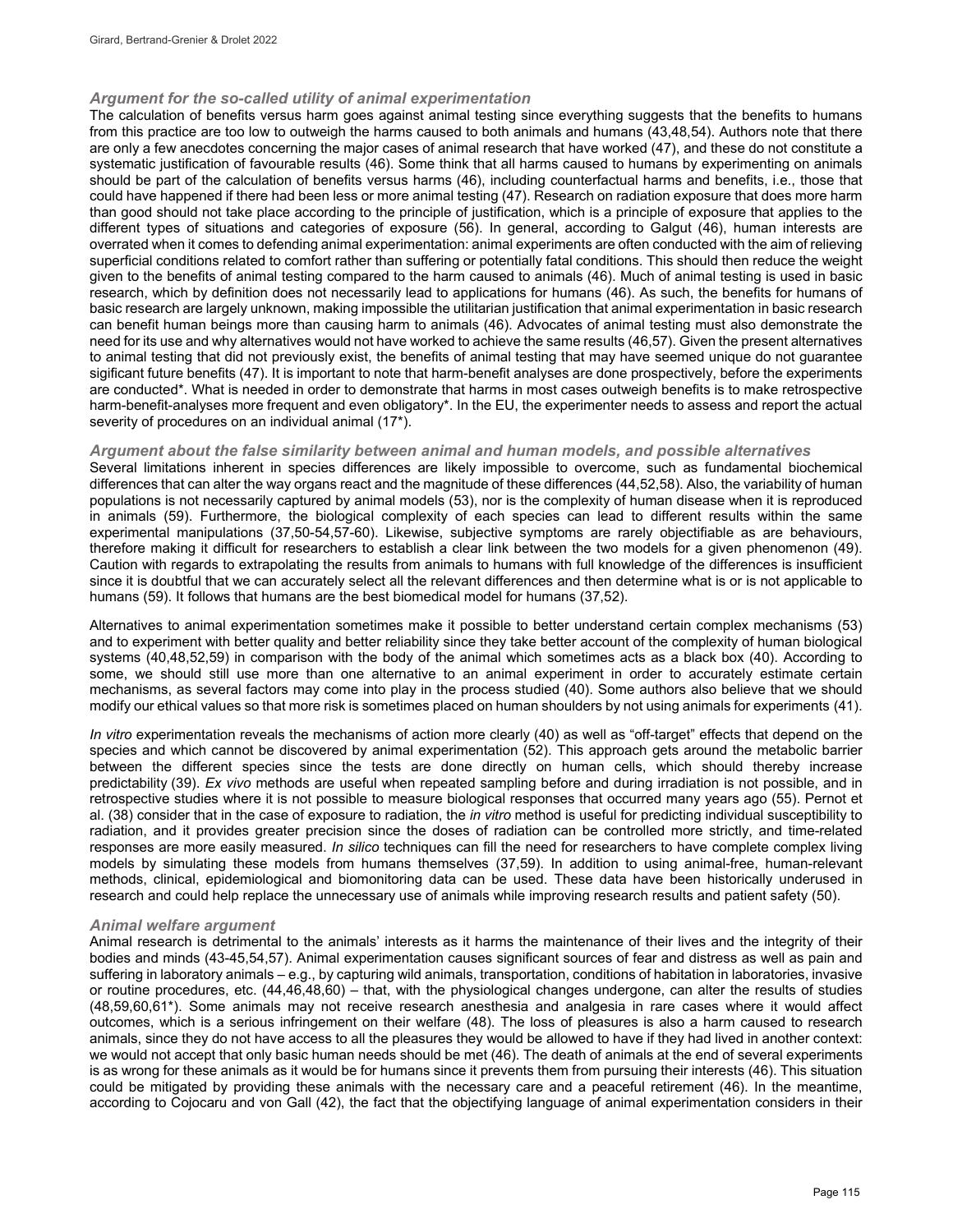#### *Argument for the so-called utility of animal experimentation*

The calculation of benefits versus harm goes against animal testing since everything suggests that the benefits to humans from this practice are too low to outweigh the harms caused to both animals and humans (43,48,54). Authors note that there are only a few anecdotes concerning the major cases of animal research that have worked (47), and these do not constitute a systematic justification of favourable results (46). Some think that all harms caused to humans by experimenting on animals should be part of the calculation of benefits versus harms (46), including counterfactual harms and benefits, i.e., those that could have happened if there had been less or more animal testing (47). Research on radiation exposure that does more harm than good should not take place according to the principle of justification, which is a principle of exposure that applies to the different types of situations and categories of exposure (56). In general, according to Galgut (46), human interests are overrated when it comes to defending animal experimentation: animal experiments are often conducted with the aim of relieving superficial conditions related to comfort rather than suffering or potentially fatal conditions. This should then reduce the weight given to the benefits of animal testing compared to the harm caused to animals (46). Much of animal testing is used in basic research, which by definition does not necessarily lead to applications for humans (46). As such, the benefits for humans of basic research are largely unknown, making impossible the utilitarian justification that animal experimentation in basic research can benefit human beings more than causing harm to animals (46). Advocates of animal testing must also demonstrate the need for its use and why alternatives would not have worked to achieve the same results (46,57). Given the present alternatives to animal testing that did not previously exist, the benefits of animal testing that may have seemed unique do not guarantee sigificant future benefits (47). It is important to note that harm-benefit analyses are done prospectively, before the experiments are conducted\*. What is needed in order to demonstrate that harms in most cases outweigh benefits is to make retrospective harm-benefit-analyses more frequent and even obligatory\*. In the EU, the experimenter needs to assess and report the actual severity of procedures on an individual animal (17\*).

#### *Argument about the false similarity between animal and human models, and possible alternatives*

Several limitations inherent in species differences are likely impossible to overcome, such as fundamental biochemical differences that can alter the way organs react and the magnitude of these differences (44,52,58). Also, the variability of human populations is not necessarily captured by animal models (53), nor is the complexity of human disease when it is reproduced in animals (59). Furthermore, the biological complexity of each species can lead to different results within the same experimental manipulations (37,50-54,57-60). Likewise, subjective symptoms are rarely objectifiable as are behaviours, therefore making it difficult for researchers to establish a clear link between the two models for a given phenomenon (49). Caution with regards to extrapolating the results from animals to humans with full knowledge of the differences is insufficient since it is doubtful that we can accurately select all the relevant differences and then determine what is or is not applicable to humans (59). It follows that humans are the best biomedical model for humans (37,52).

Alternatives to animal experimentation sometimes make it possible to better understand certain complex mechanisms (53) and to experiment with better quality and better reliability since they take better account of the complexity of human biological systems (40,48,52,59) in comparison with the body of the animal which sometimes acts as a black box (40). According to some, we should still use more than one alternative to an animal experiment in order to accurately estimate certain mechanisms, as several factors may come into play in the process studied (40). Some authors also believe that we should modify our ethical values so that more risk is sometimes placed on human shoulders by not using animals for experiments (41).

*In vitro* experimentation reveals the mechanisms of action more clearly (40) as well as "off-target" effects that depend on the species and which cannot be discovered by animal experimentation (52). This approach gets around the metabolic barrier between the different species since the tests are done directly on human cells, which should thereby increase predictability (39). *Ex vivo* methods are useful when repeated sampling before and during irradiation is not possible, and in retrospective studies where it is not possible to measure biological responses that occurred many years ago (55). Pernot et al. (38) consider that in the case of exposure to radiation, the *in vitro* method is useful for predicting individual susceptibility to radiation, and it provides greater precision since the doses of radiation can be controlled more strictly, and time-related responses are more easily measured. *In silico* techniques can fill the need for researchers to have complete complex living models by simulating these models from humans themselves (37,59). In addition to using animal-free, human-relevant methods, clinical, epidemiological and biomonitoring data can be used. These data have been historically underused in research and could help replace the unnecessary use of animals while improving research results and patient safety (50).

#### *Animal welfare argument*

Animal research is detrimental to the animals' interests as it harms the maintenance of their lives and the integrity of their bodies and minds (43-45,54,57). Animal experimentation causes significant sources of fear and distress as well as pain and suffering in laboratory animals – e.g., by capturing wild animals, transportation, conditions of habitation in laboratories, invasive or routine procedures, etc. (44,46,48,60) – that, with the physiological changes undergone, can alter the results of studies (48,59,60,61\*). Some animals may not receive research anesthesia and analgesia in rare cases where it would affect outcomes, which is a serious infringement on their welfare (48). The loss of pleasures is also a harm caused to research animals, since they do not have access to all the pleasures they would be allowed to have if they had lived in another context: we would not accept that only basic human needs should be met (46). The death of animals at the end of several experiments is as wrong for these animals as it would be for humans since it prevents them from pursuing their interests (46). This situation could be mitigated by providing these animals with the necessary care and a peaceful retirement (46). In the meantime, according to Cojocaru and von Gall (42), the fact that the objectifying language of animal experimentation considers in their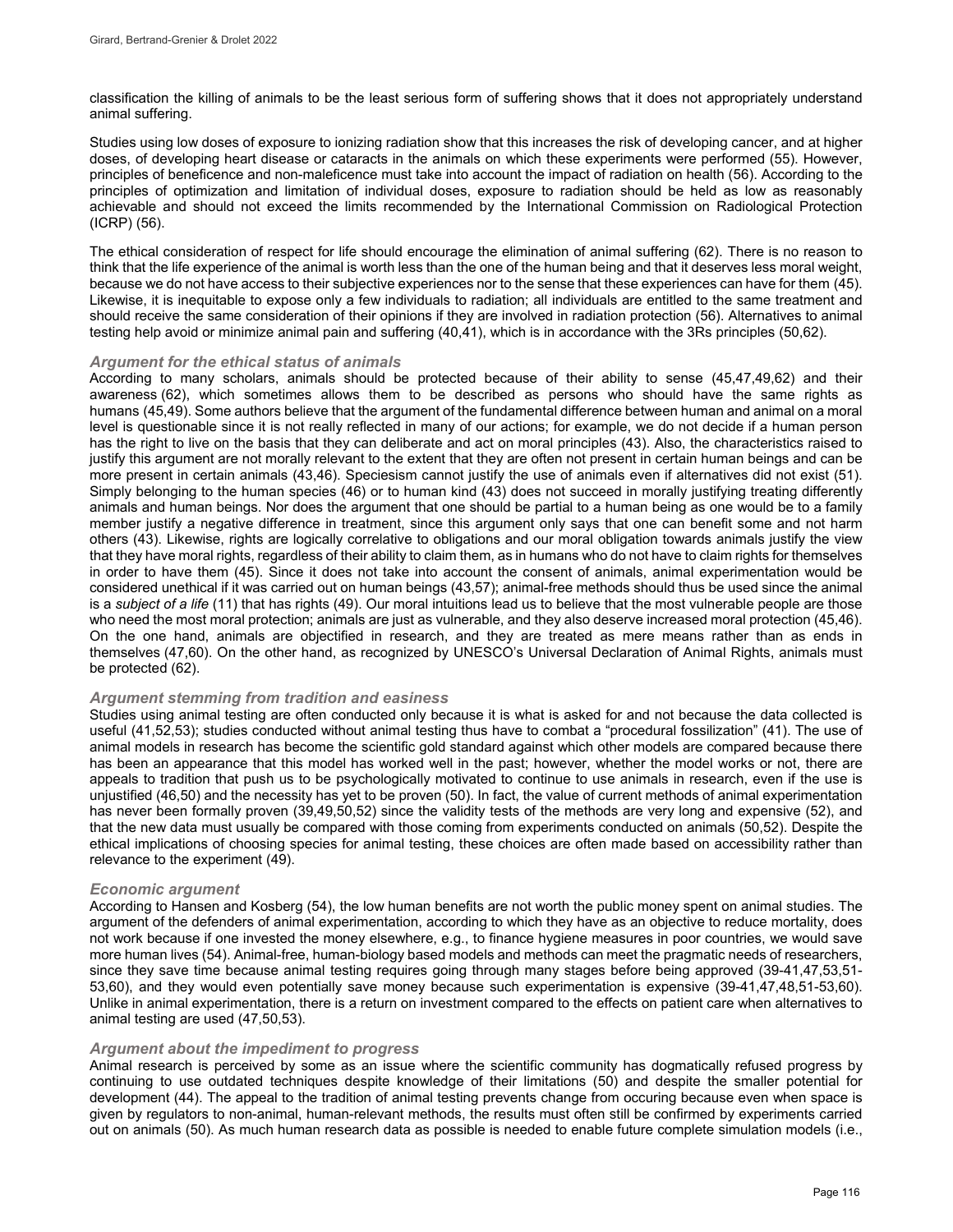classification the killing of animals to be the least serious form of suffering shows that it does not appropriately understand animal suffering.

Studies using low doses of exposure to ionizing radiation show that this increases the risk of developing cancer, and at higher doses, of developing heart disease or cataracts in the animals on which these experiments were performed (55). However, principles of beneficence and non-maleficence must take into account the impact of radiation on health (56). According to the principles of optimization and limitation of individual doses, exposure to radiation should be held as low as reasonably achievable and should not exceed the limits recommended by the International Commission on Radiological Protection (ICRP) (56).

The ethical consideration of respect for life should encourage the elimination of animal suffering (62). There is no reason to think that the life experience of the animal is worth less than the one of the human being and that it deserves less moral weight, because we do not have access to their subjective experiences nor to the sense that these experiences can have for them (45). Likewise, it is inequitable to expose only a few individuals to radiation; all individuals are entitled to the same treatment and should receive the same consideration of their opinions if they are involved in radiation protection (56). Alternatives to animal testing help avoid or minimize animal pain and suffering (40,41), which is in accordance with the 3Rs principles (50,62).

#### *Argument for the ethical status of animals*

According to many scholars, animals should be protected because of their ability to sense (45,47,49,62) and their awareness (62), which sometimes allows them to be described as persons who should have the same rights as humans (45,49). Some authors believe that the argument of the fundamental difference between human and animal on a moral level is questionable since it is not really reflected in many of our actions; for example, we do not decide if a human person has the right to live on the basis that they can deliberate and act on moral principles (43). Also, the characteristics raised to justify this argument are not morally relevant to the extent that they are often not present in certain human beings and can be more present in certain animals (43,46). Speciesism cannot justify the use of animals even if alternatives did not exist (51). Simply belonging to the human species (46) or to human kind (43) does not succeed in morally justifying treating differently animals and human beings. Nor does the argument that one should be partial to a human being as one would be to a family member justify a negative difference in treatment, since this argument only says that one can benefit some and not harm others (43). Likewise, rights are logically correlative to obligations and our moral obligation towards animals justify the view that they have moral rights, regardless of their ability to claim them, as in humans who do not have to claim rights for themselves in order to have them (45). Since it does not take into account the consent of animals, animal experimentation would be considered unethical if it was carried out on human beings (43,57); animal-free methods should thus be used since the animal is a *subject of a life* (11) that has rights (49). Our moral intuitions lead us to believe that the most vulnerable people are those who need the most moral protection; animals are just as vulnerable, and they also deserve increased moral protection (45,46). On the one hand, animals are objectified in research, and they are treated as mere means rather than as ends in themselves (47,60). On the other hand, as recognized by UNESCO's Universal Declaration of Animal Rights, animals must be protected (62).

#### *Argument stemming from tradition and easiness*

Studies using animal testing are often conducted only because it is what is asked for and not because the data collected is useful (41,52,53); studies conducted without animal testing thus have to combat a "procedural fossilization" (41). The use of animal models in research has become the scientific gold standard against which other models are compared because there has been an appearance that this model has worked well in the past; however, whether the model works or not, there are appeals to tradition that push us to be psychologically motivated to continue to use animals in research, even if the use is unjustified (46,50) and the necessity has yet to be proven (50). In fact, the value of current methods of animal experimentation has never been formally proven (39,49,50,52) since the validity tests of the methods are very long and expensive (52), and that the new data must usually be compared with those coming from experiments conducted on animals (50,52). Despite the ethical implications of choosing species for animal testing, these choices are often made based on accessibility rather than relevance to the experiment (49).

#### *Economic argument*

According to Hansen and Kosberg (54), the low human benefits are not worth the public money spent on animal studies. The argument of the defenders of animal experimentation, according to which they have as an objective to reduce mortality, does not work because if one invested the money elsewhere, e.g., to finance hygiene measures in poor countries, we would save more human lives (54). Animal-free, human-biology based models and methods can meet the pragmatic needs of researchers, since they save time because animal testing requires going through many stages before being approved (39-41,47,53,51- 53,60), and they would even potentially save money because such experimentation is expensive (39-41,47,48,51-53,60). Unlike in animal experimentation, there is a return on investment compared to the effects on patient care when alternatives to animal testing are used (47,50,53).

#### *Argument about the impediment to progress*

Animal research is perceived by some as an issue where the scientific community has dogmatically refused progress by continuing to use outdated techniques despite knowledge of their limitations (50) and despite the smaller potential for development (44). The appeal to the tradition of animal testing prevents change from occuring because even when space is given by regulators to non-animal, human-relevant methods, the results must often still be confirmed by experiments carried out on animals (50). As much human research data as possible is needed to enable future complete simulation models (i.e.,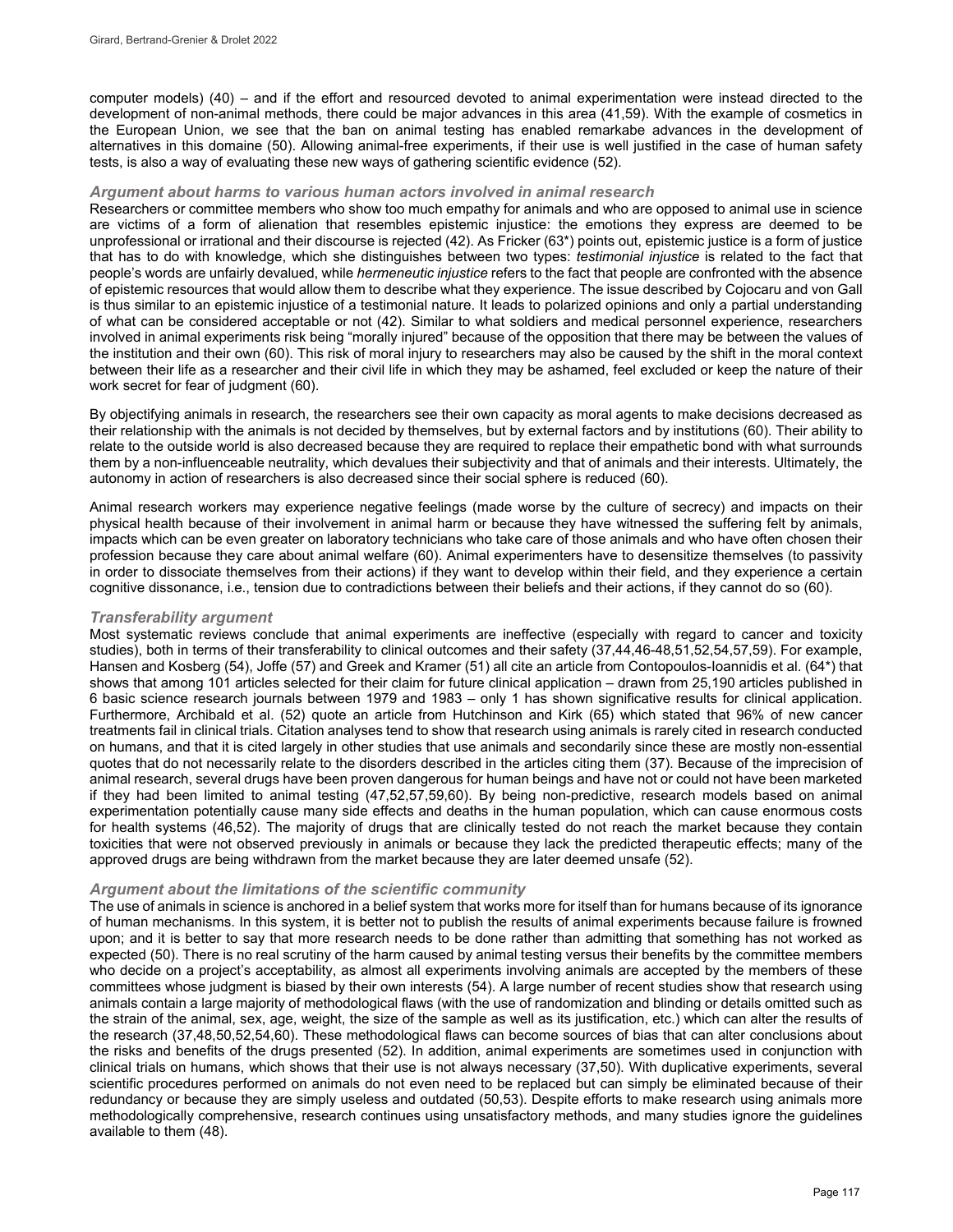computer models) (40) – and if the effort and resourced devoted to animal experimentation were instead directed to the development of non-animal methods, there could be major advances in this area (41,59). With the example of cosmetics in the European Union, we see that the ban on animal testing has enabled remarkabe advances in the development of alternatives in this domaine (50). Allowing animal-free experiments, if their use is well justified in the case of human safety tests, is also a way of evaluating these new ways of gathering scientific evidence (52).

#### *Argument about harms to various human actors involved in animal research*

Researchers or committee members who show too much empathy for animals and who are opposed to animal use in science are victims of a form of alienation that resembles epistemic injustice: the emotions they express are deemed to be unprofessional or irrational and their discourse is rejected (42). As Fricker (63\*) points out, epistemic justice is a form of justice that has to do with knowledge, which she distinguishes between two types: *testimonial injustice* is related to the fact that people's words are unfairly devalued, while *hermeneutic injustice* refers to the fact that people are confronted with the absence of epistemic resources that would allow them to describe what they experience. The issue described by Cojocaru and von Gall is thus similar to an epistemic injustice of a testimonial nature. It leads to polarized opinions and only a partial understanding of what can be considered acceptable or not (42). Similar to what soldiers and medical personnel experience, researchers involved in animal experiments risk being "morally injured" because of the opposition that there may be between the values of the institution and their own (60). This risk of moral injury to researchers may also be caused by the shift in the moral context between their life as a researcher and their civil life in which they may be ashamed, feel excluded or keep the nature of their work secret for fear of judgment (60).

By objectifying animals in research, the researchers see their own capacity as moral agents to make decisions decreased as their relationship with the animals is not decided by themselves, but by external factors and by institutions (60). Their ability to relate to the outside world is also decreased because they are required to replace their empathetic bond with what surrounds them by a non-influenceable neutrality, which devalues their subjectivity and that of animals and their interests. Ultimately, the autonomy in action of researchers is also decreased since their social sphere is reduced (60).

Animal research workers may experience negative feelings (made worse by the culture of secrecy) and impacts on their physical health because of their involvement in animal harm or because they have witnessed the suffering felt by animals, impacts which can be even greater on laboratory technicians who take care of those animals and who have often chosen their profession because they care about animal welfare (60). Animal experimenters have to desensitize themselves (to passivity in order to dissociate themselves from their actions) if they want to develop within their field, and they experience a certain cognitive dissonance, i.e., tension due to contradictions between their beliefs and their actions, if they cannot do so (60).

#### *Transferability argument*

Most systematic reviews conclude that animal experiments are ineffective (especially with regard to cancer and toxicity studies), both in terms of their transferability to clinical outcomes and their safety (37,44,46-48,51,52,54,57,59). For example, Hansen and Kosberg (54), Joffe (57) and Greek and Kramer (51) all cite an article from Contopoulos-Ioannidis et al. (64\*) that shows that among 101 articles selected for their claim for future clinical application – drawn from 25,190 articles published in 6 basic science research journals between 1979 and 1983 – only 1 has shown significative results for clinical application. Furthermore, Archibald et al. (52) quote an article from Hutchinson and Kirk (65) which stated that 96% of new cancer treatments fail in clinical trials. Citation analyses tend to show that research using animals is rarely cited in research conducted on humans, and that it is cited largely in other studies that use animals and secondarily since these are mostly non-essential quotes that do not necessarily relate to the disorders described in the articles citing them (37). Because of the imprecision of animal research, several drugs have been proven dangerous for human beings and have not or could not have been marketed if they had been limited to animal testing (47,52,57,59,60). By being non-predictive, research models based on animal experimentation potentially cause many side effects and deaths in the human population, which can cause enormous costs for health systems (46,52). The majority of drugs that are clinically tested do not reach the market because they contain toxicities that were not observed previously in animals or because they lack the predicted therapeutic effects; many of the approved drugs are being withdrawn from the market because they are later deemed unsafe (52).

#### *Argument about the limitations of the scientific community*

The use of animals in science is anchored in a belief system that works more for itself than for humans because of its ignorance of human mechanisms. In this system, it is better not to publish the results of animal experiments because failure is frowned upon; and it is better to say that more research needs to be done rather than admitting that something has not worked as expected (50). There is no real scrutiny of the harm caused by animal testing versus their benefits by the committee members who decide on a project's acceptability, as almost all experiments involving animals are accepted by the members of these committees whose judgment is biased by their own interests (54). A large number of recent studies show that research using animals contain a large majority of methodological flaws (with the use of randomization and blinding or details omitted such as the strain of the animal, sex, age, weight, the size of the sample as well as its justification, etc.) which can alter the results of the research (37,48,50,52,54,60). These methodological flaws can become sources of bias that can alter conclusions about the risks and benefits of the drugs presented (52). In addition, animal experiments are sometimes used in conjunction with clinical trials on humans, which shows that their use is not always necessary (37,50). With duplicative experiments, several scientific procedures performed on animals do not even need to be replaced but can simply be eliminated because of their redundancy or because they are simply useless and outdated (50,53). Despite efforts to make research using animals more methodologically comprehensive, research continues using unsatisfactory methods, and many studies ignore the guidelines available to them (48).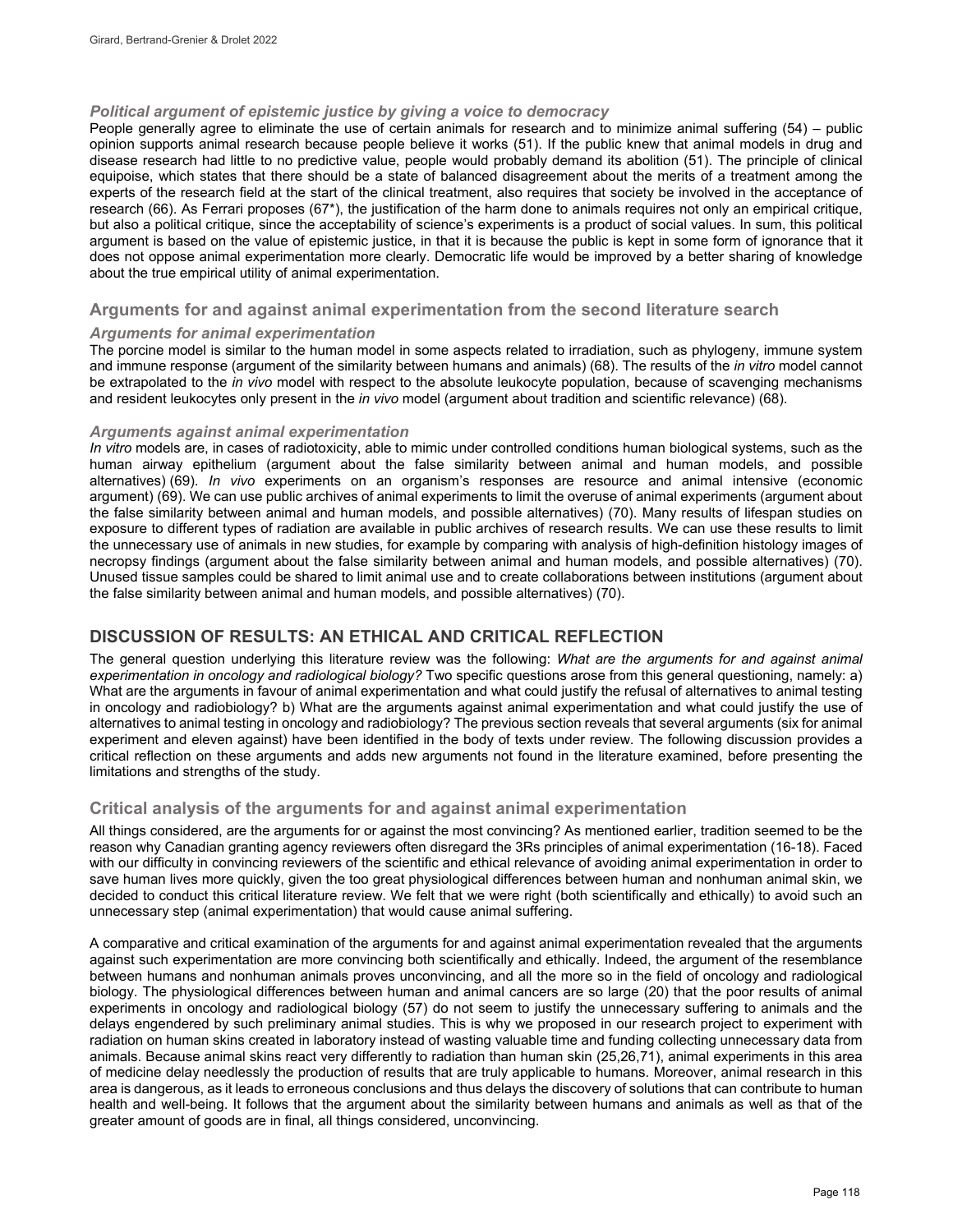#### *Political argument of epistemic justice by giving a voice to democracy*

People generally agree to eliminate the use of certain animals for research and to minimize animal suffering (54) – public opinion supports animal research because people believe it works (51). If the public knew that animal models in drug and disease research had little to no predictive value, people would probably demand its abolition (51). The principle of clinical equipoise, which states that there should be a state of balanced disagreement about the merits of a treatment among the experts of the research field at the start of the clinical treatment, also requires that society be involved in the acceptance of research (66). As Ferrari proposes (67\*), the justification of the harm done to animals requires not only an empirical critique, but also a political critique, since the acceptability of science's experiments is a product of social values. In sum, this political argument is based on the value of epistemic justice, in that it is because the public is kept in some form of ignorance that it does not oppose animal experimentation more clearly. Democratic life would be improved by a better sharing of knowledge about the true empirical utility of animal experimentation.

#### **Arguments for and against animal experimentation from the second literature search**

#### *Arguments for animal experimentation*

The porcine model is similar to the human model in some aspects related to irradiation, such as phylogeny, immune system and immune response (argument of the similarity between humans and animals) (68). The results of the *in vitro* model cannot be extrapolated to the *in vivo* model with respect to the absolute leukocyte population, because of scavenging mechanisms and resident leukocytes only present in the *in vivo* model (argument about tradition and scientific relevance) (68).

#### *Arguments against animal experimentation*

*In vitro* models are, in cases of radiotoxicity, able to mimic under controlled conditions human biological systems, such as the human airway epithelium (argument about the false similarity between animal and human models, and possible alternatives) (69). *In vivo* experiments on an organism's responses are resource and animal intensive (economic argument) (69). We can use public archives of animal experiments to limit the overuse of animal experiments (argument about the false similarity between animal and human models, and possible alternatives) (70). Many results of lifespan studies on exposure to different types of radiation are available in public archives of research results. We can use these results to limit the unnecessary use of animals in new studies, for example by comparing with analysis of high-definition histology images of necropsy findings (argument about the false similarity between animal and human models, and possible alternatives) (70). Unused tissue samples could be shared to limit animal use and to create collaborations between institutions (argument about the false similarity between animal and human models, and possible alternatives) (70).

### **DISCUSSION OF RESULTS: AN ETHICAL AND CRITICAL REFLECTION**

The general question underlying this literature review was the following: *What are the arguments for and against animal experimentation in oncology and radiological biology?* Two specific questions arose from this general questioning, namely: a) What are the arguments in favour of animal experimentation and what could justify the refusal of alternatives to animal testing in oncology and radiobiology? b) What are the arguments against animal experimentation and what could justify the use of alternatives to animal testing in oncology and radiobiology? The previous section reveals that several arguments (six for animal experiment and eleven against) have been identified in the body of texts under review. The following discussion provides a critical reflection on these arguments and adds new arguments not found in the literature examined, before presenting the limitations and strengths of the study.

### **Critical analysis of the arguments for and against animal experimentation**

All things considered, are the arguments for or against the most convincing? As mentioned earlier, tradition seemed to be the reason why Canadian granting agency reviewers often disregard the 3Rs principles of animal experimentation (16-18). Faced with our difficulty in convincing reviewers of the scientific and ethical relevance of avoiding animal experimentation in order to save human lives more quickly, given the too great physiological differences between human and nonhuman animal skin, we decided to conduct this critical literature review. We felt that we were right (both scientifically and ethically) to avoid such an unnecessary step (animal experimentation) that would cause animal suffering.

A comparative and critical examination of the arguments for and against animal experimentation revealed that the arguments against such experimentation are more convincing both scientifically and ethically. Indeed, the argument of the resemblance between humans and nonhuman animals proves unconvincing, and all the more so in the field of oncology and radiological biology. The physiological differences between human and animal cancers are so large (20) that the poor results of animal experiments in oncology and radiological biology (57) do not seem to justify the unnecessary suffering to animals and the delays engendered by such preliminary animal studies. This is why we proposed in our research project to experiment with radiation on human skins created in laboratory instead of wasting valuable time and funding collecting unnecessary data from animals. Because animal skins react very differently to radiation than human skin (25,26,71), animal experiments in this area of medicine delay needlessly the production of results that are truly applicable to humans. Moreover, animal research in this area is dangerous, as it leads to erroneous conclusions and thus delays the discovery of solutions that can contribute to human health and well-being. It follows that the argument about the similarity between humans and animals as well as that of the greater amount of goods are in final, all things considered, unconvincing.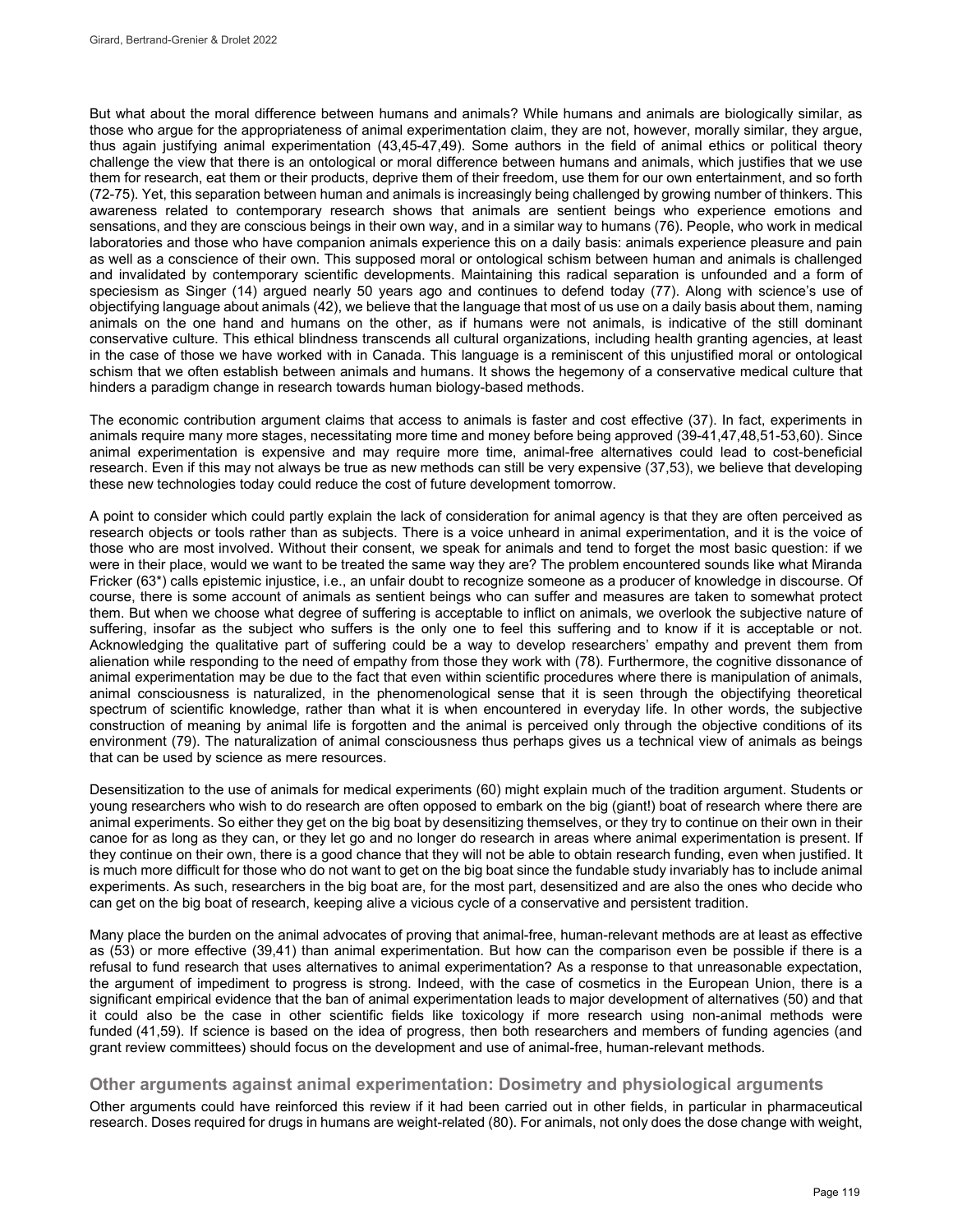But what about the moral difference between humans and animals? While humans and animals are biologically similar, as those who argue for the appropriateness of animal experimentation claim, they are not, however, morally similar, they argue, thus again justifying animal experimentation (43,45-47,49). Some authors in the field of animal ethics or political theory challenge the view that there is an ontological or moral difference between humans and animals, which justifies that we use them for research, eat them or their products, deprive them of their freedom, use them for our own entertainment, and so forth (72-75). Yet, this separation between human and animals is increasingly being challenged by growing number of thinkers. This awareness related to contemporary research shows that animals are sentient beings who experience emotions and sensations, and they are conscious beings in their own way, and in a similar way to humans (76). People, who work in medical laboratories and those who have companion animals experience this on a daily basis: animals experience pleasure and pain as well as a conscience of their own. This supposed moral or ontological schism between human and animals is challenged and invalidated by contemporary scientific developments. Maintaining this radical separation is unfounded and a form of speciesism as Singer (14) argued nearly 50 years ago and continues to defend today (77). Along with science's use of objectifying language about animals (42), we believe that the language that most of us use on a daily basis about them, naming animals on the one hand and humans on the other, as if humans were not animals, is indicative of the still dominant conservative culture. This ethical blindness transcends all cultural organizations, including health granting agencies, at least in the case of those we have worked with in Canada. This language is a reminiscent of this unjustified moral or ontological schism that we often establish between animals and humans. It shows the hegemony of a conservative medical culture that hinders a paradigm change in research towards human biology-based methods.

The economic contribution argument claims that access to animals is faster and cost effective (37). In fact, experiments in animals require many more stages, necessitating more time and money before being approved (39-41,47,48,51-53,60). Since animal experimentation is expensive and may require more time, animal-free alternatives could lead to cost-beneficial research. Even if this may not always be true as new methods can still be very expensive (37,53), we believe that developing these new technologies today could reduce the cost of future development tomorrow.

A point to consider which could partly explain the lack of consideration for animal agency is that they are often perceived as research objects or tools rather than as subjects. There is a voice unheard in animal experimentation, and it is the voice of those who are most involved. Without their consent, we speak for animals and tend to forget the most basic question: if we were in their place, would we want to be treated the same way they are? The problem encountered sounds like what Miranda Fricker (63\*) calls epistemic injustice, i.e., an unfair doubt to recognize someone as a producer of knowledge in discourse. Of course, there is some account of animals as sentient beings who can suffer and measures are taken to somewhat protect them. But when we choose what degree of suffering is acceptable to inflict on animals, we overlook the subjective nature of suffering, insofar as the subject who suffers is the only one to feel this suffering and to know if it is acceptable or not. Acknowledging the qualitative part of suffering could be a way to develop researchers' empathy and prevent them from alienation while responding to the need of empathy from those they work with (78). Furthermore, the cognitive dissonance of animal experimentation may be due to the fact that even within scientific procedures where there is manipulation of animals, animal consciousness is naturalized, in the phenomenological sense that it is seen through the objectifying theoretical spectrum of scientific knowledge, rather than what it is when encountered in everyday life. In other words, the subjective construction of meaning by animal life is forgotten and the animal is perceived only through the objective conditions of its environment (79). The naturalization of animal consciousness thus perhaps gives us a technical view of animals as beings that can be used by science as mere resources.

Desensitization to the use of animals for medical experiments (60) might explain much of the tradition argument. Students or young researchers who wish to do research are often opposed to embark on the big (giant!) boat of research where there are animal experiments. So either they get on the big boat by desensitizing themselves, or they try to continue on their own in their canoe for as long as they can, or they let go and no longer do research in areas where animal experimentation is present. If they continue on their own, there is a good chance that they will not be able to obtain research funding, even when justified. It is much more difficult for those who do not want to get on the big boat since the fundable study invariably has to include animal experiments. As such, researchers in the big boat are, for the most part, desensitized and are also the ones who decide who can get on the big boat of research, keeping alive a vicious cycle of a conservative and persistent tradition.

Many place the burden on the animal advocates of proving that animal-free, human-relevant methods are at least as effective as (53) or more effective (39,41) than animal experimentation. But how can the comparison even be possible if there is a refusal to fund research that uses alternatives to animal experimentation? As a response to that unreasonable expectation, the argument of impediment to progress is strong. Indeed, with the case of cosmetics in the European Union, there is a significant empirical evidence that the ban of animal experimentation leads to major development of alternatives (50) and that it could also be the case in other scientific fields like toxicology if more research using non-animal methods were funded (41,59). If science is based on the idea of progress, then both researchers and members of funding agencies (and grant review committees) should focus on the development and use of animal-free, human-relevant methods.

### **Other arguments against animal experimentation: Dosimetry and physiological arguments**

Other arguments could have reinforced this review if it had been carried out in other fields, in particular in pharmaceutical research. Doses required for drugs in humans are weight-related (80). For animals, not only does the dose change with weight,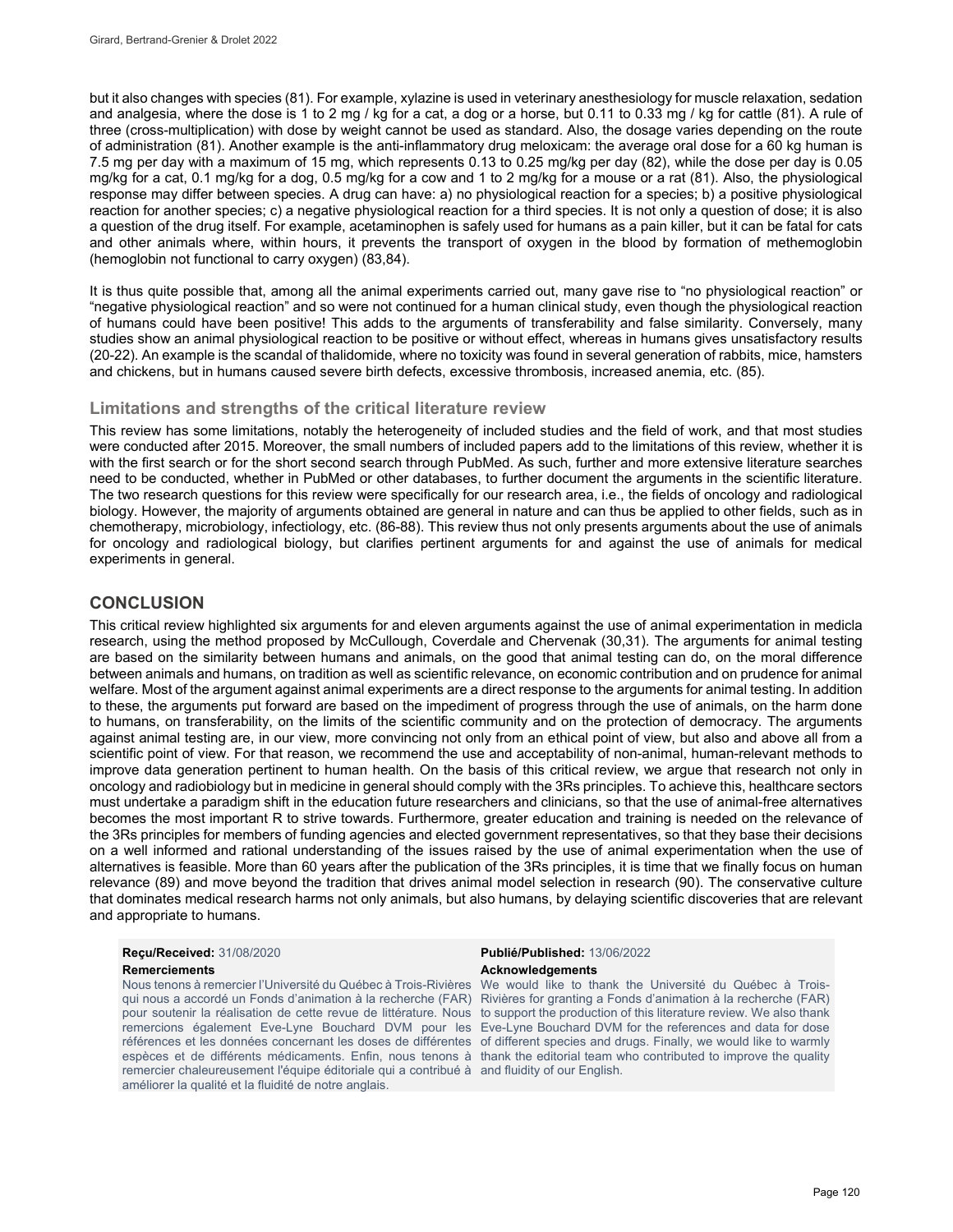but it also changes with species (81). For example, xylazine is used in veterinary anesthesiology for muscle relaxation, sedation and analgesia, where the dose is 1 to 2 mg / kg for a cat, a dog or a horse, but 0.11 to 0.33 mg / kg for cattle (81). A rule of three (cross-multiplication) with dose by weight cannot be used as standard. Also, the dosage varies depending on the route of administration (81). Another example is the anti-inflammatory drug meloxicam: the average oral dose for a 60 kg human is 7.5 mg per day with a maximum of 15 mg, which represents 0.13 to 0.25 mg/kg per day (82), while the dose per day is 0.05 mg/kg for a cat, 0.1 mg/kg for a dog, 0.5 mg/kg for a cow and 1 to 2 mg/kg for a mouse or a rat (81). Also, the physiological response may differ between species. A drug can have: a) no physiological reaction for a species; b) a positive physiological reaction for another species; c) a negative physiological reaction for a third species. It is not only a question of dose; it is also a question of the drug itself. For example, acetaminophen is safely used for humans as a pain killer, but it can be fatal for cats and other animals where, within hours, it prevents the transport of oxygen in the blood by formation of methemoglobin (hemoglobin not functional to carry oxygen) (83,84).

It is thus quite possible that, among all the animal experiments carried out, many gave rise to "no physiological reaction" or "negative physiological reaction" and so were not continued for a human clinical study, even though the physiological reaction of humans could have been positive! This adds to the arguments of transferability and false similarity. Conversely, many studies show an animal physiological reaction to be positive or without effect, whereas in humans gives unsatisfactory results (20-22). An example is the scandal of thalidomide, where no toxicity was found in several generation of rabbits, mice, hamsters and chickens, but in humans caused severe birth defects, excessive thrombosis, increased anemia, etc. (85).

#### **Limitations and strengths of the critical literature review**

This review has some limitations, notably the heterogeneity of included studies and the field of work, and that most studies were conducted after 2015. Moreover, the small numbers of included papers add to the limitations of this review, whether it is with the first search or for the short second search through PubMed. As such, further and more extensive literature searches need to be conducted, whether in PubMed or other databases, to further document the arguments in the scientific literature. The two research questions for this review were specifically for our research area, i.e., the fields of oncology and radiological biology. However, the majority of arguments obtained are general in nature and can thus be applied to other fields, such as in chemotherapy, microbiology, infectiology, etc. (86-88). This review thus not only presents arguments about the use of animals for oncology and radiological biology, but clarifies pertinent arguments for and against the use of animals for medical experiments in general.

#### **CONCLUSION**

This critical review highlighted six arguments for and eleven arguments against the use of animal experimentation in medicla research, using the method proposed by McCullough, Coverdale and Chervenak (30,31). The arguments for animal testing are based on the similarity between humans and animals, on the good that animal testing can do, on the moral difference between animals and humans, on tradition as well as scientific relevance, on economic contribution and on prudence for animal welfare. Most of the argument against animal experiments are a direct response to the arguments for animal testing. In addition to these, the arguments put forward are based on the impediment of progress through the use of animals, on the harm done to humans, on transferability, on the limits of the scientific community and on the protection of democracy. The arguments against animal testing are, in our view, more convincing not only from an ethical point of view, but also and above all from a scientific point of view. For that reason, we recommend the use and acceptability of non-animal, human-relevant methods to improve data generation pertinent to human health. On the basis of this critical review, we argue that research not only in oncology and radiobiology but in medicine in general should comply with the 3Rs principles. To achieve this, healthcare sectors must undertake a paradigm shift in the education future researchers and clinicians, so that the use of animal-free alternatives becomes the most important R to strive towards. Furthermore, greater education and training is needed on the relevance of the 3Rs principles for members of funding agencies and elected government representatives, so that they base their decisions on a well informed and rational understanding of the issues raised by the use of animal experimentation when the use of alternatives is feasible. More than 60 years after the publication of the 3Rs principles, it is time that we finally focus on human relevance (89) and move beyond the tradition that drives animal model selection in research (90). The conservative culture that dominates medical research harms not only animals, but also humans, by delaying scientific discoveries that are relevant and appropriate to humans.

## **Reçu/Received:** 31/08/2020 **Publié/Published:** 13/06/2022

# **Remerciements Acknowledgements**

Nous tenons à remercier l'Université du Québec à Trois-Rivières qui nous a accordé un Fonds d'animation à la recherche (FAR) pour soutenir la réalisation de cette revue de littérature. Nous to support the production of this literature review. We also thank remercions également Eve-Lyne Bouchard DVM pour les Eve-Lyne Bouchard DVM for the references and data for dose références et les données concernant les doses de différentes of different species and drugs. Finally, we would like to warmly espèces et de différents médicaments. Enfin, nous tenons à thank the editorial team who contributed to improve the quality remercier chaleureusement l'équipe éditoriale qui a contribué à and fluidity of our English. améliorer la qualité et la fluidité de notre anglais.

We would like to thank the Université du Québec à Trois-Rivières for granting a Fonds d'animation à la recherche (FAR)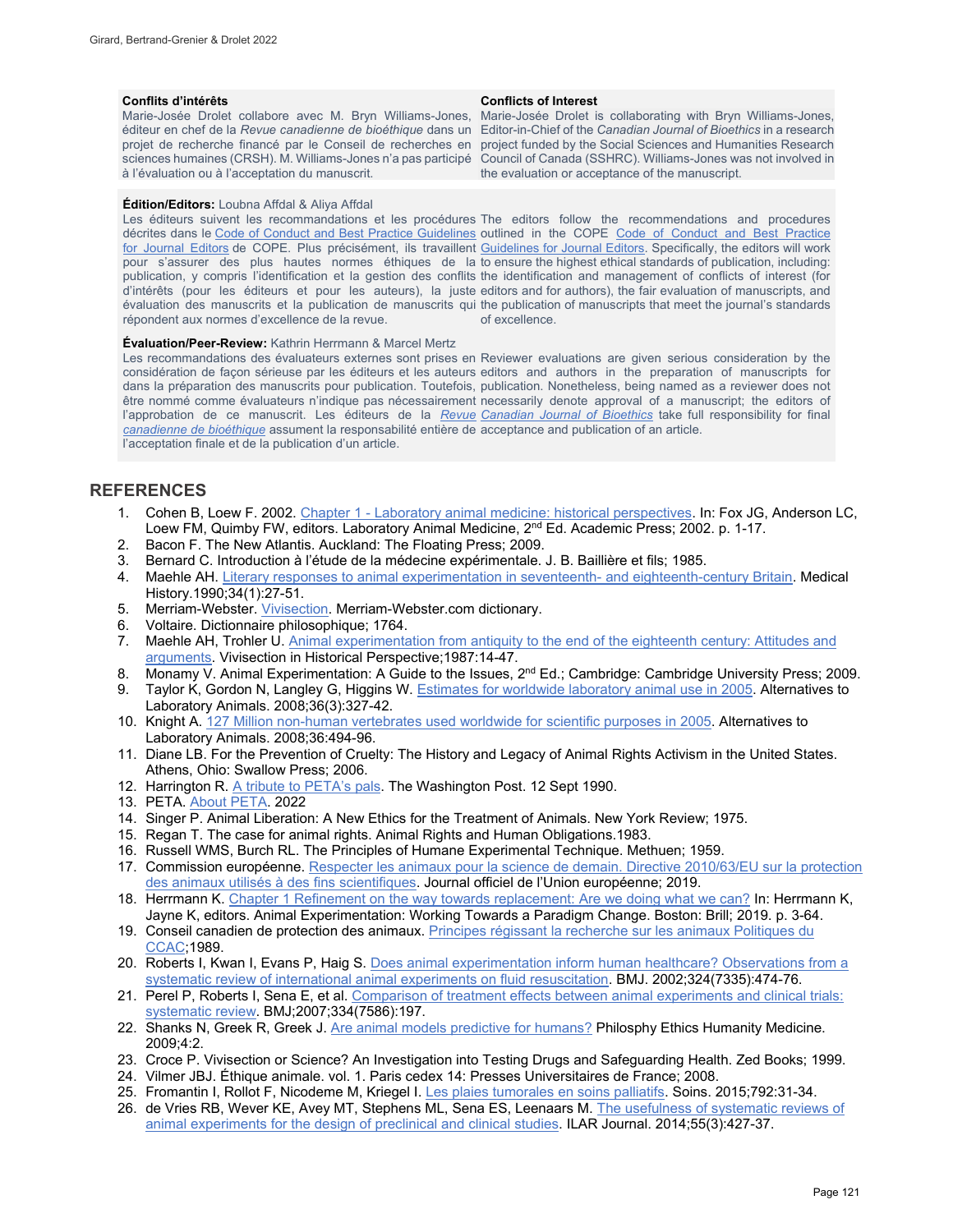Marie-Josée Drolet collabore avec M. Bryn Williams-Jones, à l'évaluation ou à l'acceptation du manuscrit.

#### **Édition/Editors:** Loubna Affdal & Aliya Affdal

Les éditeurs suivent les recommandations et les procédures The editors follow the recommendations and procedures décrites dans le Code of Conduct [and Best Practice Guidelines](http://publicationethics.org/resources/code-conduct) outlined in the COPE Code of Conduct and Best Practice <u>[for Journal Editors](http://publicationethics.org/resources/code-conduct)</u> de COPE. Plus précisément, ils travaillent <u>Guidelines for Journal Editors</u>. Specifically, the editors will work pour s'assurer des plus hautes normes éthiques de la to ensure the highest ethical standards of publication, including: publication, y compris l'identification et la gestion des conflits the identification and management of conflicts of interest (for d'intérêts (pour les éditeurs et pour les auteurs), la juste editors and for authors), the fair evaluation of manuscripts, and évaluation des manuscrits et la publication de manuscrits qui the publication of manuscripts that meet the journal's standards répondent aux normes d'excellence de la revue.

#### **Conflits d'intérêts Conflicts of Interest**

éditeur en chef de la *Revue canadienne de bioéthique* dans un Editor-in-Chief of the *Canadian Journal of Bioethics* in a research projet de recherche financé par le Conseil de recherches en project funded by the Social Sciences and Humanities Research sciences humaines (CRSH). M. Williams-Jones n'a pas participé Council of Canada (SSHRC). Williams-Jones was not involved in Marie-Josée Drolet is collaborating with Bryn Williams-Jones, the evaluation or acceptance of the manuscript.

of excellence.

#### **Évaluation/Peer-Review:** Kathrin Herrmann & Marcel Mertz

Les recommandations des évaluateurs externes sont prises en Reviewer evaluations are given serious consideration by the considération de façon sérieuse par les éditeurs et les auteurs editors and authors in the preparation of manuscripts for dans la préparation des manuscrits pour publication. Toutefois, publication. Nonetheless, being named as a reviewer does not être nommé comme évaluateurs n'indique pas nécessairement necessarily denote approval of a manuscript; the editors of l'approbation de ce manuscrit. Les éditeurs de la *[Revue](http://cjb-rcb.ca/)  [Canadian Journal of Bioethics](http://cjb-rcb.ca/)* take full responsibility for final *[canadienne de bioéthique](http://cjb-rcb.ca/)* assument la responsabilité entière de acceptance and publication of an article. l'acceptation finale et de la publication d'un article.

#### **REFERENCES**

- 1. Cohen B, Loew F. 2002. [Chapter 1 Laboratory animal medicine: historical perspectives.](https://www.sciencedirect.com/science/article/pii/B9780122639517500041?via%3Dihub) In: Fox JG, Anderson LC, Loew FM, Quimby FW, editors. Laboratory Animal Medicine, 2<sup>nd</sup> Ed. Academic Press; 2002. p. 1-17.
- 2. Bacon F. The New Atlantis. Auckland: The Floating Press; 2009.
- 3. Bernard C. Introduction à l'étude de la médecine expérimentale. J. B. Baillière et fils; 1985.
- 4. Maehle AH. [Literary responses to animal experimentation in seventeenth- and eighteenth-century Britain.](https://www.cambridge.org/core/journals/medical-history/article/literary-responses-to-animal-experimentation-in-seventeenth-and-eighteenthcentury-britain/175230939ACF25F6F726491063798DD1) Medical History.1990;34(1):27-51.
- 5. Merriam-Webster. [Vivisection.](https://www.merriam-webster.com/dictionary/vivisection#h) Merriam-Webster.com dictionary.
- 6. Voltaire. Dictionnaire philosophique; 1764.
- 7. Maehle AH, Trohler U. Animal experimentation from antiquity to the end of the eighteenth century: Attitudes and [arguments.](https://agris.fao.org/agris-search/search.do;jsessionid=E66F1B7F4E934EC390E86052C7132720?request_locale=fr&recordID=US201302075441&query=&sourceQuery=&sortField=&sortOrder=&agrovocString=&advQuery=¢erString=&enableField=) Vivisection in Historical Perspective;1987:14-47.
- 8. Monamy V. Animal Experimentation: A Guide to the Issues, 2<sup>nd</sup> Ed.; Cambridge: Cambridge University Press; 2009.<br>9. Taylor K, Gordon N, Langley G, Higgins W. Estimates for worldwide laboratory animal use in 2005. Altern
- Taylor K, Gordon N, Langley G, Higgins W. [Estimates for worldwide laboratory animal use](https://pubmed.ncbi.nlm.nih.gov/18662096/) in 2005. Alternatives to Laboratory Animals. 2008;36(3):327-42.
- 10. Knight A[. 127 Million non-human vertebrates used worldwide for scientific purposes in 2005.](https://www.wellbeingintlstudiesrepository.org/cgi/viewcontent.cgi?article=1084&context=acwp_arte) Alternatives to Laboratory Animals. 2008;36:494-96.
- 11. Diane LB. For the Prevention of Cruelty: The History and Legacy of Animal Rights Activism in the United States. Athens, Ohio: Swallow Press; 2006.
- 12. Harrington R[. A tribute to PETA's pals.](https://www.washingtonpost.com/archive/lifestyle/1990/09/12/a-tribute-to-petas-pals/250be172-5b65-4af8-8596-6ea3d3b7ef2c/) The Washington Post. 12 Sept 1990.
- 13. PETA. [About PETA.](https://www.peta.org/about-peta/) 2022
- 14. Singer P. Animal Liberation: A New Ethics for the Treatment of Animals. New York Review; 1975.
- 15. Regan T. The case for animal rights. Animal Rights and Human Obligations.1983.
- 16. Russell WMS, Burch RL. The Principles of Humane Experimental Technique. Methuen; 1959.
- 17. Commission européenne[. Respecter les animaux pour la science de demain. Directive 2010/63/EU sur la protection](https://op.europa.eu/en/publication-detail/-/publication/fca9ae7f-2554-11e9-8d04-01aa75ed71a1/language-fr/format-PDF)  [des animaux utilisés à des fins scientifiques.](https://op.europa.eu/en/publication-detail/-/publication/fca9ae7f-2554-11e9-8d04-01aa75ed71a1/language-fr/format-PDF) Journal officiel de l'Union européenne; 2019.
- 18. Herrmann K. [Chapter 1 Refinement on the way towards replacement: Are we doing what we can?](https://brill.com/view/book/edcoll/9789004391192/BP000002.xml?language=en) In: Herrmann K, Jayne K, editors. Animal Experimentation: Working Towards a Paradigm Change. Boston: Brill; 2019. p. 3-64.
- 19. Conseil canadien de protection des animaux. Principes régissant la recherche sur les animaux Politiques du [CCAC;](https://ccac.ca/Documents/Normes/Politiques/Principes_sur_la_recherche.pdf)1989.
- 20. Roberts I, Kwan I, Evans P, Haig S. Does animal experimentation inform human healthcare? Observations from a [systematic review of international animal experiments on fluid resuscitation.](https://pubmed.ncbi.nlm.nih.gov/11859053/) BMJ. 2002;324(7335):474-76.
- 21. Perel P, Roberts I, Sena E, et al. Comparison of treatment effects between animal experiments and clinical trials: [systematic review.](https://www.bmj.com/content/334/7586/197.long) BMJ;2007;334(7586):197.
- 22. Shanks N, Greek R, Greek J[. Are animal models predictive for humans?](https://peh-med.biomedcentral.com/articles/10.1186/1747-5341-4-2) Philosphy Ethics Humanity Medicine. 2009;4:2.
- 23. Croce P. Vivisection or Science? An Investigation into Testing Drugs and Safeguarding Health. Zed Books; 1999.
- 24. Vilmer JBJ. Éthique animale. vol. 1. Paris cedex 14: Presses Universitaires de France; 2008.
- 25. Fromantin I, Rollot F, Nicodeme M, Kriegel I[. Les plaies tumorales en soins palliatifs.](https://bientraitance-findevie.org/wp-content/uploads/2018/12/Fromentin-soins012015.pdf) Soins. 2015;792:31-34.
- 26. de Vries RB, Wever KE, Avey MT, Stephens ML, Sena ES, Leenaars M[. The usefulness of systematic reviews of](https://pubmed.ncbi.nlm.nih.gov/25541545/)  [animal experiments for the design of preclinical and clinical studies.](https://pubmed.ncbi.nlm.nih.gov/25541545/) ILAR Journal. 2014;55(3):427-37.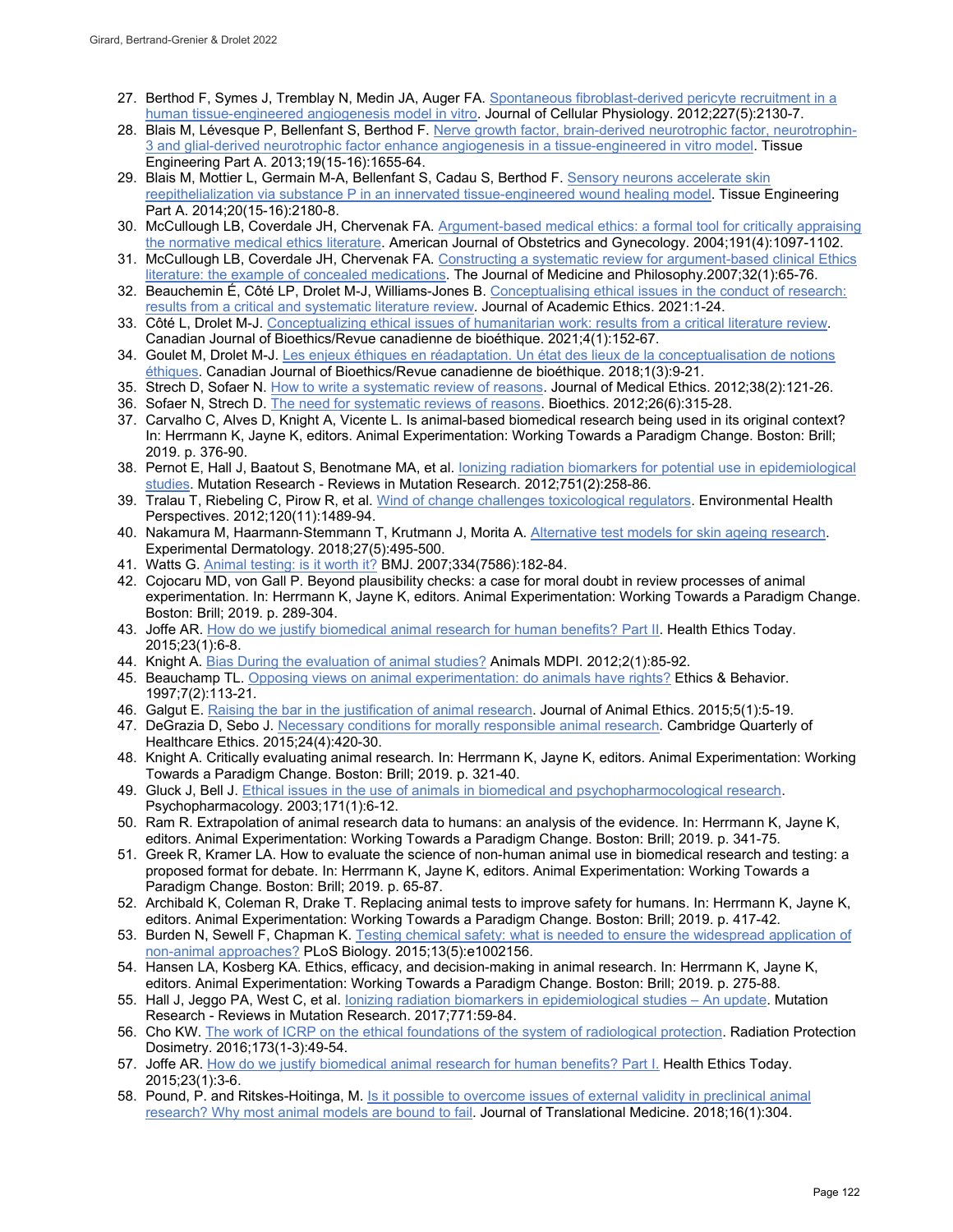- 27. Berthod F, Symes J, Tremblay N, Medin JA, Auger FA[. Spontaneous fibroblast-derived pericyte recruitment in a](https://onlinelibrary.wiley.com/doi/10.1002/jcp.22943)  [human tissue-engineered angiogenesis model in vitro.](https://onlinelibrary.wiley.com/doi/10.1002/jcp.22943) Journal of Cellular Physiology. 2012;227(5):2130-7.
- 28. Blais M, Lévesque P, Bellenfant S, Berthod F[. Nerve growth factor, brain-derived neurotrophic factor, neurotrophin-](https://pubmed.ncbi.nlm.nih.gov/23530859/)[3 and glial-derived neurotrophic factor enhance angiogenesis in a tissue-engineered in vitro model.](https://pubmed.ncbi.nlm.nih.gov/23530859/) Tissue Engineering Part A. 2013;19(15-16):1655-64.
- 29. Blais M, Mottier L, Germain M-A, Bellenfant S, Cadau S, Berthod F. Sensory neurons accelerate skin [reepithelialization via substance P in an innervated tissue-engineered wound healing model.](https://pubmed.ncbi.nlm.nih.gov/24716723/) Tissue Engineering Part A. 2014;20(15-16):2180-8.
- 30. McCullough LB, Coverdale JH, Chervenak FA[. Argument-based medical ethics: a formal tool for critically appraising](https://pubmed.ncbi.nlm.nih.gov/15507927/)  [the normative medical ethics literature.](https://pubmed.ncbi.nlm.nih.gov/15507927/) American Journal of Obstetrics and Gynecology. 2004;191(4):1097-1102.
- 31. McCullough LB, Coverdale JH, Chervenak FA[. Constructing a systematic review for argument-based clinical Ethics](https://pubmed.ncbi.nlm.nih.gov/17365446/)  [literature: the example of concealed medications.](https://pubmed.ncbi.nlm.nih.gov/17365446/) The Journal of Medicine and Philosophy.2007;32(1):65-76.
- 32. Beauchemin É, Côté LP, Drolet M-J, Williams-Jones B. [Conceptualising ethical issues in the conduct of research:](https://link.springer.com/article/10.1007/s10805-021-09411-7)  [results from a critical and systematic literature review.](https://link.springer.com/article/10.1007/s10805-021-09411-7) Journal of Academic Ethics. 2021:1-24.
- 33. Côté L, Drolet M-J[. Conceptualizing ethical issues of humanitarian work: results from a critical literature review.](https://www.erudit.org/fr/revues/bioethics/2021-v4-n1-bioethics06069/1077631ar/) Canadian Journal of Bioethics/Revue canadienne de bioéthique. 2021;4(1):152-67.
- 34. Goulet M, Drolet M-J. Les enjeux éthiques en réadaptation. Un état des lieux de la conceptualisation de notions [éthiques.](https://www.erudit.org/fr/revues/bioethics/2019-v2-n2-bioethics04464/1058248ar/) Canadian Journal of Bioethics/Revue canadienne de bioéthique. 2018;1(3):9-21.
- 35. Strech D, Sofaer N. [How to write a systematic](https://jme.bmj.com/content/38/2/121) review of reasons. Journal of Medical Ethics. 2012;38(2):121-26.
- 36. Sofaer N, Strech D. [The need for systematic reviews of reasons.](https://www.ncbi.nlm.nih.gov/pmc/articles/PMC3458717/) Bioethics. 2012;26(6):315-28.
- 37. Carvalho C, Alves D, Knight A, Vicente L. Is animal-based biomedical research being used in its original context? In: Herrmann K, Jayne K, editors. Animal Experimentation: Working Towards a Paradigm Change. Boston: Brill; 2019. p. 376-90.
- 38. Pernot E, Hall J, Baatout S, Benotmane MA, et al[. Ionizing radiation biomarkers for potential use in epidemiological](https://pubmed.ncbi.nlm.nih.gov/22677531/)  [studies.](https://pubmed.ncbi.nlm.nih.gov/22677531/) Mutation Research - Reviews in Mutation Research. 2012;751(2):258-86.
- 39. Tralau T, Riebeling C, Pirow R, et al. [Wind of change challenges toxicological regulators.](https://pubmed.ncbi.nlm.nih.gov/22871563/) Environmental Health Perspectives. 2012;120(11):1489-94.
- 40. Nakamura M, Haarmann‐Stemmann T, Krutmann J, Morita A. [Alternative test models for skin ageing research.](https://pubmed.ncbi.nlm.nih.gov/29478289/) Experimental Dermatology. 2018;27(5):495-500.
- 41. Watts G. [Animal testing: is it worth it?](https://pubmed.ncbi.nlm.nih.gov/17255608/) BMJ. 2007;334(7586):182-84.
- 42. Cojocaru MD, von Gall P. Beyond plausibility checks: a case for moral doubt in review processes of animal experimentation. In: Herrmann K, Jayne K, editors. Animal Experimentation: Working Towards a Paradigm Change. Boston: Brill; 2019. p. 289-304.
- 43. Joffe AR. [How do we justify biomedical animal research for human benefits?](https://www.ualberta.ca/john-dossetor-health-ethics-centre/media-library/health-ethics-today/healthethicstodayvol23no1may2015.pdf) Part II. Health Ethics Today. 2015;23(1):6-8.
- 44. Knight A[. Bias During the evaluation of animal studies?](https://www.ncbi.nlm.nih.gov/pmc/articles/PMC4494271/) Animals MDPI. 2012;2(1):85-92.
- 45. Beauchamp TL[. Opposing views on animal experimentation: do animals have rights?](https://www.tandfonline.com/doi/abs/10.1207/s15327019eb0702_3?journalCode=hebh20) Ethics & Behavior. 1997;7(2):113-21.
- 46. Galgut E. Raising the [bar in the justification of animal research.](https://www.jstor.org/stable/10.5406/janimalethics.5.1.0005) Journal of Animal Ethics. 2015;5(1):5-19.
- 47. DeGrazia D, Sebo J[. Necessary conditions for morally responsible animal research.](https://www.cambridge.org/core/journals/cambridge-quarterly-of-healthcare-ethics/article/abs/necessary-conditions-for-morally-responsible-animal-research/8296509E21D20D0AE78A5396A5EACE65) Cambridge Quarterly of Healthcare Ethics. 2015;24(4):420-30.
- 48. Knight A. Critically evaluating animal research. In: Herrmann K, Jayne K, editors. Animal Experimentation: Working Towards a Paradigm Change. Boston: Brill; 2019. p. 321-40.
- 49. Gluck J, Bell J[. Ethical issues in the use of animals in biomedical and psychopharmocological research.](https://pubmed.ncbi.nlm.nih.gov/12774187/)  Psychopharmacology. 2003;171(1):6-12.
- 50. Ram R. Extrapolation of animal research data to humans: an analysis of the evidence. In: Herrmann K, Jayne K, editors. Animal Experimentation: Working Towards a Paradigm Change. Boston: Brill; 2019. p. 341-75.
- 51. Greek R, Kramer LA. How to evaluate the science of non-human animal use in biomedical research and testing: a proposed format for debate. In: Herrmann K, Jayne K, editors. Animal Experimentation: Working Towards a Paradigm Change. Boston: Brill; 2019. p. 65-87.
- 52. Archibald K, Coleman R, Drake T. Replacing animal tests to improve safety for humans. In: Herrmann K, Jayne K, editors. Animal Experimentation: Working Towards a Paradigm Change. Boston: Brill; 2019. p. 417-42.
- 53. Burden N, Sewell F, Chapman K. [Testing chemical safety: what is needed to ensure the widespread application of](https://journals.plos.org/plosbiology/article?id=10.1371/journal.pbio.1002156)  [non-animal approaches?](https://journals.plos.org/plosbiology/article?id=10.1371/journal.pbio.1002156) PLoS Biology. 2015;13(5):e1002156.
- 54. Hansen LA, Kosberg KA. Ethics, efficacy, and decision-making in animal research. In: Herrmann K, Jayne K, editors. Animal Experimentation: Working Towards a Paradigm Change. Boston: Brill; 2019. p. 275-88.
- 55. Hall J, Jeggo PA, West C, et al. *Ionizing radiation biomarkers in epidemiological studies An update.* Mutation Research - Reviews in Mutation Research. 2017;771:59-84.
- 56. Cho KW. The work of ICRP on the [ethical foundations of the system of radiological protection.](https://doi.org/10.1093/rpd/ncw309) Radiation Protection Dosimetry. 2016;173(1-3):49-54.
- 57. Joffe AR. [How do we justify biomedical animal research for human benefits? Part I.](https://www.ualberta.ca/john-dossetor-health-ethics-centre/media-library/health-ethics-today/healthethicstodayvol23no1may2015.pdf) Health Ethics Today. 2015;23(1):3-6.
- 58. Pound, P. and Ritskes-Hoitinga, M. [Is it possible to overcome issues of external](https://www.ncbi.nlm.nih.gov/pmc/articles/PMC6223056/) validity in preclinical animal [research? Why most animal models are bound to fail.](https://www.ncbi.nlm.nih.gov/pmc/articles/PMC6223056/) Journal of Translational Medicine. 2018;16(1):304.